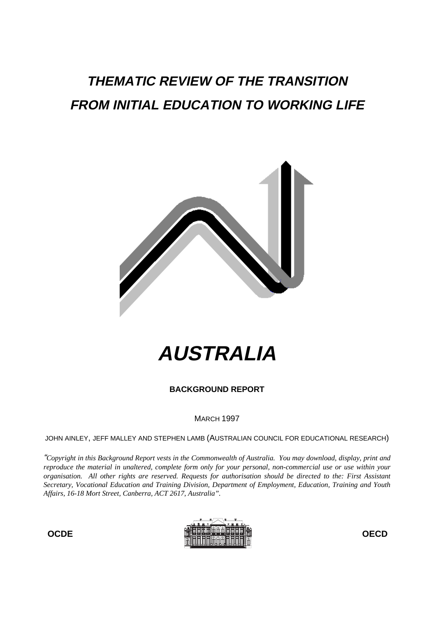## **THEMATIC REVIEW OF THE TRANSITION FROM INITIAL EDUCATION TO WORKING LIFE**



# **AUSTRALIA**

**BACKGROUND REPORT**

MARCH 1997

JOHN AINLEY, JEFF MALLEY AND STEPHEN LAMB (AUSTRALIAN COUNCIL FOR EDUCATIONAL RESEARCH)

"*Copyright in this Background Report vests in the Commonwealth of Australia. You may download, display, print and reproduce the material in unaltered, complete form only for your personal, non-commercial use or use within your organisation. All other rights are reserved. Requests for authorisation should be directed to the: First Assistant Secretary, Vocational Education and Training Division, Department of Employment, Education, Training and Youth Affairs, 16-18 Mort Street, Canberra, ACT 2617, Australia".*

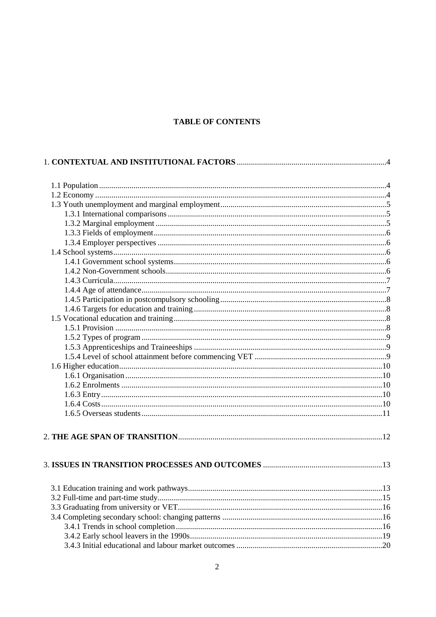## TABLE OF CONTENTS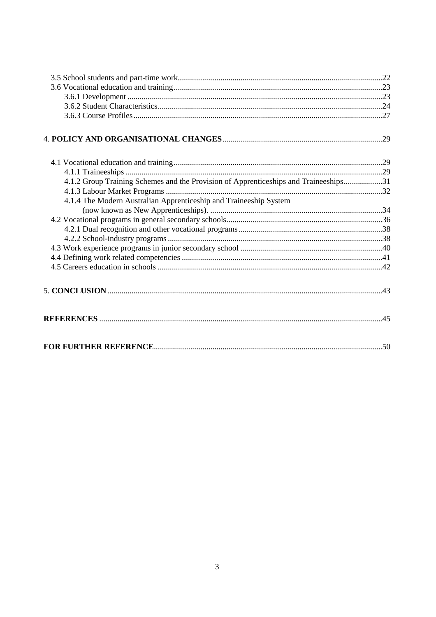| 4.1.4 The Modern Australian Apprenticeship and Traineeship System                    |  |
|--------------------------------------------------------------------------------------|--|
| 4.1.2 Group Training Schemes and the Provision of Apprenticeships and Traineeships31 |  |
|                                                                                      |  |
|                                                                                      |  |
|                                                                                      |  |
|                                                                                      |  |
|                                                                                      |  |
|                                                                                      |  |
|                                                                                      |  |
|                                                                                      |  |
|                                                                                      |  |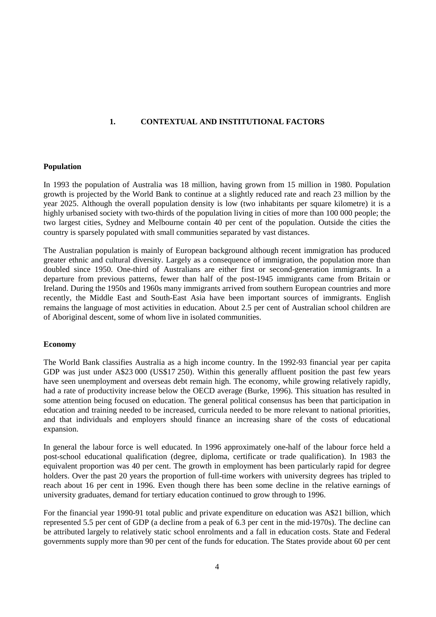## **1. CONTEXTUAL AND INSTITUTIONAL FACTORS**

#### **Population**

In 1993 the population of Australia was 18 million, having grown from 15 million in 1980. Population growth is projected by the World Bank to continue at a slightly reduced rate and reach 23 million by the year 2025. Although the overall population density is low (two inhabitants per square kilometre) it is a highly urbanised society with two-thirds of the population living in cities of more than 100 000 people; the two largest cities, Sydney and Melbourne contain 40 per cent of the population. Outside the cities the country is sparsely populated with small communities separated by vast distances.

The Australian population is mainly of European background although recent immigration has produced greater ethnic and cultural diversity. Largely as a consequence of immigration, the population more than doubled since 1950. One-third of Australians are either first or second-generation immigrants. In a departure from previous patterns, fewer than half of the post-1945 immigrants came from Britain or Ireland. During the 1950s and 1960s many immigrants arrived from southern European countries and more recently, the Middle East and South-East Asia have been important sources of immigrants. English remains the language of most activities in education. About 2.5 per cent of Australian school children are of Aboriginal descent, some of whom live in isolated communities.

## **Economy**

The World Bank classifies Australia as a high income country. In the 1992-93 financial year per capita GDP was just under A\$23 000 (US\$17 250). Within this generally affluent position the past few years have seen unemployment and overseas debt remain high. The economy, while growing relatively rapidly, had a rate of productivity increase below the OECD average (Burke, 1996). This situation has resulted in some attention being focused on education. The general political consensus has been that participation in education and training needed to be increased, curricula needed to be more relevant to national priorities, and that individuals and employers should finance an increasing share of the costs of educational expansion.

In general the labour force is well educated. In 1996 approximately one-half of the labour force held a post-school educational qualification (degree, diploma, certificate or trade qualification). In 1983 the equivalent proportion was 40 per cent. The growth in employment has been particularly rapid for degree holders. Over the past 20 years the proportion of full-time workers with university degrees has tripled to reach about 16 per cent in 1996. Even though there has been some decline in the relative earnings of university graduates, demand for tertiary education continued to grow through to 1996.

For the financial year 1990-91 total public and private expenditure on education was A\$21 billion, which represented 5.5 per cent of GDP (a decline from a peak of 6.3 per cent in the mid-1970s). The decline can be attributed largely to relatively static school enrolments and a fall in education costs. State and Federal governments supply more than 90 per cent of the funds for education. The States provide about 60 per cent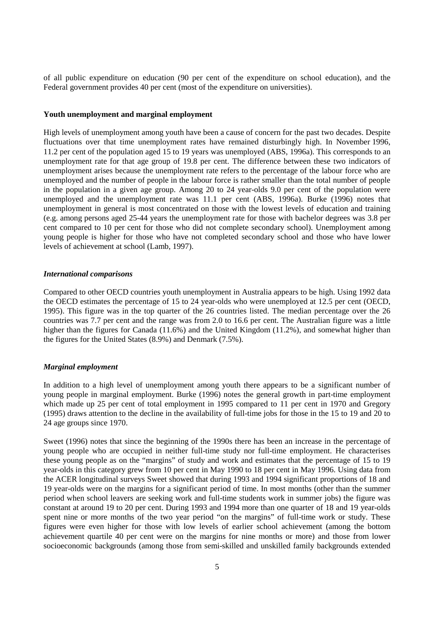of all public expenditure on education (90 per cent of the expenditure on school education), and the Federal government provides 40 per cent (most of the expenditure on universities).

#### **Youth unemployment and marginal employment**

High levels of unemployment among youth have been a cause of concern for the past two decades. Despite fluctuations over that time unemployment rates have remained disturbingly high. In November 1996, 11.2 per cent of the population aged 15 to 19 years was unemployed (ABS, 1996a). This corresponds to an unemployment rate for that age group of 19.8 per cent. The difference between these two indicators of unemployment arises because the unemployment rate refers to the percentage of the labour force who are unemployed and the number of people in the labour force is rather smaller than the total number of people in the population in a given age group. Among 20 to 24 year-olds 9.0 per cent of the population were unemployed and the unemployment rate was 11.1 per cent (ABS, 1996a). Burke (1996) notes that unemployment in general is most concentrated on those with the lowest levels of education and training (e.g. among persons aged 25-44 years the unemployment rate for those with bachelor degrees was 3.8 per cent compared to 10 per cent for those who did not complete secondary school). Unemployment among young people is higher for those who have not completed secondary school and those who have lower levels of achievement at school (Lamb, 1997).

#### *International comparisons*

Compared to other OECD countries youth unemployment in Australia appears to be high. Using 1992 data the OECD estimates the percentage of 15 to 24 year-olds who were unemployed at 12.5 per cent (OECD, 1995). This figure was in the top quarter of the 26 countries listed. The median percentage over the 26 countries was 7.7 per cent and the range was from 2.0 to 16.6 per cent. The Australian figure was a little higher than the figures for Canada (11.6%) and the United Kingdom (11.2%), and somewhat higher than the figures for the United States (8.9%) and Denmark (7.5%).

#### *Marginal employment*

In addition to a high level of unemployment among youth there appears to be a significant number of young people in marginal employment. Burke (1996) notes the general growth in part-time employment which made up 25 per cent of total employment in 1995 compared to 11 per cent in 1970 and Gregory (1995) draws attention to the decline in the availability of full-time jobs for those in the 15 to 19 and 20 to 24 age groups since 1970.

Sweet (1996) notes that since the beginning of the 1990s there has been an increase in the percentage of young people who are occupied in neither full-time study nor full-time employment. He characterises these young people as on the "margins" of study and work and estimates that the percentage of 15 to 19 year-olds in this category grew from 10 per cent in May 1990 to 18 per cent in May 1996. Using data from the ACER longitudinal surveys Sweet showed that during 1993 and 1994 significant proportions of 18 and 19 year-olds were on the margins for a significant period of time. In most months (other than the summer period when school leavers are seeking work and full-time students work in summer jobs) the figure was constant at around 19 to 20 per cent. During 1993 and 1994 more than one quarter of 18 and 19 year-olds spent nine or more months of the two year period "on the margins" of full-time work or study. These figures were even higher for those with low levels of earlier school achievement (among the bottom achievement quartile 40 per cent were on the margins for nine months or more) and those from lower socioeconomic backgrounds (among those from semi-skilled and unskilled family backgrounds extended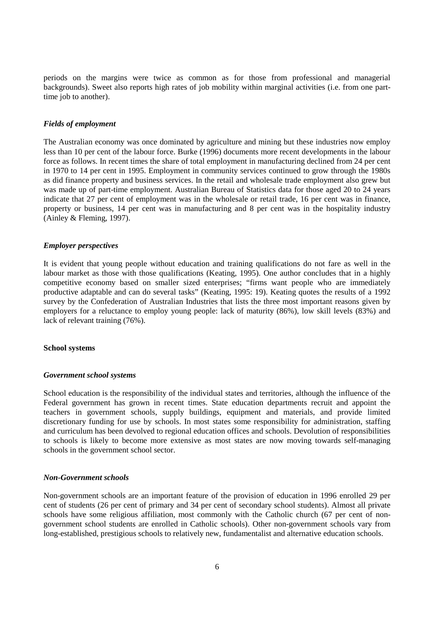periods on the margins were twice as common as for those from professional and managerial backgrounds). Sweet also reports high rates of job mobility within marginal activities (i.e. from one parttime job to another).

#### *Fields of employment*

The Australian economy was once dominated by agriculture and mining but these industries now employ less than 10 per cent of the labour force. Burke (1996) documents more recent developments in the labour force as follows. In recent times the share of total employment in manufacturing declined from 24 per cent in 1970 to 14 per cent in 1995. Employment in community services continued to grow through the 1980s as did finance property and business services. In the retail and wholesale trade employment also grew but was made up of part-time employment. Australian Bureau of Statistics data for those aged 20 to 24 years indicate that 27 per cent of employment was in the wholesale or retail trade, 16 per cent was in finance, property or business, 14 per cent was in manufacturing and 8 per cent was in the hospitality industry (Ainley & Fleming, 1997).

#### *Employer perspectives*

It is evident that young people without education and training qualifications do not fare as well in the labour market as those with those qualifications (Keating, 1995). One author concludes that in a highly competitive economy based on smaller sized enterprises; "firms want people who are immediately productive adaptable and can do several tasks" (Keating, 1995: 19). Keating quotes the results of a 1992 survey by the Confederation of Australian Industries that lists the three most important reasons given by employers for a reluctance to employ young people: lack of maturity (86%), low skill levels (83%) and lack of relevant training (76%).

#### **School systems**

#### *Government school systems*

School education is the responsibility of the individual states and territories, although the influence of the Federal government has grown in recent times. State education departments recruit and appoint the teachers in government schools, supply buildings, equipment and materials, and provide limited discretionary funding for use by schools. In most states some responsibility for administration, staffing and curriculum has been devolved to regional education offices and schools. Devolution of responsibilities to schools is likely to become more extensive as most states are now moving towards self-managing schools in the government school sector.

#### *Non-Government schools*

Non-government schools are an important feature of the provision of education in 1996 enrolled 29 per cent of students (26 per cent of primary and 34 per cent of secondary school students). Almost all private schools have some religious affiliation, most commonly with the Catholic church (67 per cent of nongovernment school students are enrolled in Catholic schools). Other non-government schools vary from long-established, prestigious schools to relatively new, fundamentalist and alternative education schools.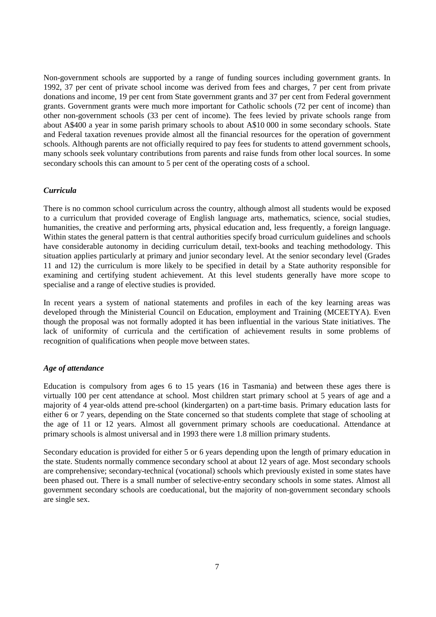Non-government schools are supported by a range of funding sources including government grants. In 1992, 37 per cent of private school income was derived from fees and charges, 7 per cent from private donations and income, 19 per cent from State government grants and 37 per cent from Federal government grants. Government grants were much more important for Catholic schools (72 per cent of income) than other non-government schools (33 per cent of income). The fees levied by private schools range from about A\$400 a year in some parish primary schools to about A\$10 000 in some secondary schools. State and Federal taxation revenues provide almost all the financial resources for the operation of government schools. Although parents are not officially required to pay fees for students to attend government schools, many schools seek voluntary contributions from parents and raise funds from other local sources. In some secondary schools this can amount to 5 per cent of the operating costs of a school.

#### *Curricula*

There is no common school curriculum across the country, although almost all students would be exposed to a curriculum that provided coverage of English language arts, mathematics, science, social studies, humanities, the creative and performing arts, physical education and, less frequently, a foreign language. Within states the general pattern is that central authorities specify broad curriculum guidelines and schools have considerable autonomy in deciding curriculum detail, text-books and teaching methodology. This situation applies particularly at primary and junior secondary level. At the senior secondary level (Grades 11 and 12) the curriculum is more likely to be specified in detail by a State authority responsible for examining and certifying student achievement. At this level students generally have more scope to specialise and a range of elective studies is provided.

In recent years a system of national statements and profiles in each of the key learning areas was developed through the Ministerial Council on Education, employment and Training (MCEETYA). Even though the proposal was not formally adopted it has been influential in the various State initiatives. The lack of uniformity of curricula and the certification of achievement results in some problems of recognition of qualifications when people move between states.

#### *Age of attendance*

Education is compulsory from ages 6 to 15 years (16 in Tasmania) and between these ages there is virtually 100 per cent attendance at school. Most children start primary school at 5 years of age and a majority of 4 year-olds attend pre-school (kindergarten) on a part-time basis. Primary education lasts for either 6 or 7 years, depending on the State concerned so that students complete that stage of schooling at the age of 11 or 12 years. Almost all government primary schools are coeducational. Attendance at primary schools is almost universal and in 1993 there were 1.8 million primary students.

Secondary education is provided for either 5 or 6 years depending upon the length of primary education in the state. Students normally commence secondary school at about 12 years of age. Most secondary schools are comprehensive; secondary-technical (vocational) schools which previously existed in some states have been phased out. There is a small number of selective-entry secondary schools in some states. Almost all government secondary schools are coeducational, but the majority of non-government secondary schools are single sex.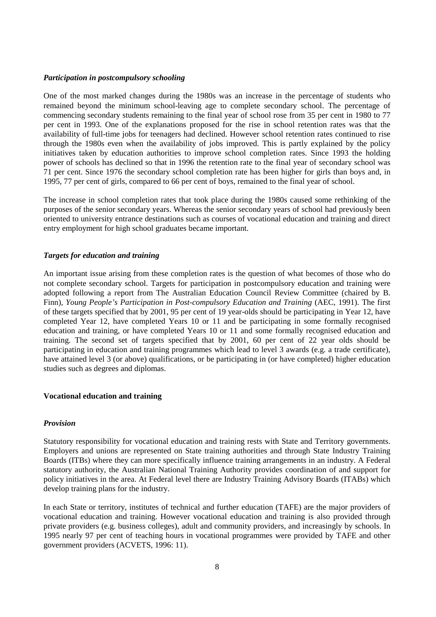#### *Participation in postcompulsory schooling*

One of the most marked changes during the 1980s was an increase in the percentage of students who remained beyond the minimum school-leaving age to complete secondary school. The percentage of commencing secondary students remaining to the final year of school rose from 35 per cent in 1980 to 77 per cent in 1993. One of the explanations proposed for the rise in school retention rates was that the availability of full-time jobs for teenagers had declined. However school retention rates continued to rise through the 1980s even when the availability of jobs improved. This is partly explained by the policy initiatives taken by education authorities to improve school completion rates. Since 1993 the holding power of schools has declined so that in 1996 the retention rate to the final year of secondary school was 71 per cent. Since 1976 the secondary school completion rate has been higher for girls than boys and, in 1995, 77 per cent of girls, compared to 66 per cent of boys, remained to the final year of school.

The increase in school completion rates that took place during the 1980s caused some rethinking of the purposes of the senior secondary years. Whereas the senior secondary years of school had previously been oriented to university entrance destinations such as courses of vocational education and training and direct entry employment for high school graduates became important.

#### *Targets for education and training*

An important issue arising from these completion rates is the question of what becomes of those who do not complete secondary school. Targets for participation in postcompulsory education and training were adopted following a report from The Australian Education Council Review Committee (chaired by B. Finn)*, Young People's Participation in Post-compulsory Education and Training* (AEC, 1991). The first of these targets specified that by 2001, 95 per cent of 19 year-olds should be participating in Year 12, have completed Year 12, have completed Years 10 or 11 and be participating in some formally recognised education and training, or have completed Years 10 or 11 and some formally recognised education and training. The second set of targets specified that by 2001, 60 per cent of 22 year olds should be participating in education and training programmes which lead to level 3 awards (e.g. a trade certificate), have attained level 3 (or above) qualifications, or be participating in (or have completed) higher education studies such as degrees and diplomas.

#### **Vocational education and training**

#### *Provision*

Statutory responsibility for vocational education and training rests with State and Territory governments. Employers and unions are represented on State training authorities and through State Industry Training Boards (ITBs) where they can more specifically influence training arrangements in an industry. A Federal statutory authority, the Australian National Training Authority provides coordination of and support for policy initiatives in the area. At Federal level there are Industry Training Advisory Boards (ITABs) which develop training plans for the industry.

In each State or territory, institutes of technical and further education (TAFE) are the major providers of vocational education and training. However vocational education and training is also provided through private providers (e.g. business colleges), adult and community providers, and increasingly by schools. In 1995 nearly 97 per cent of teaching hours in vocational programmes were provided by TAFE and other government providers (ACVETS, 1996: 11).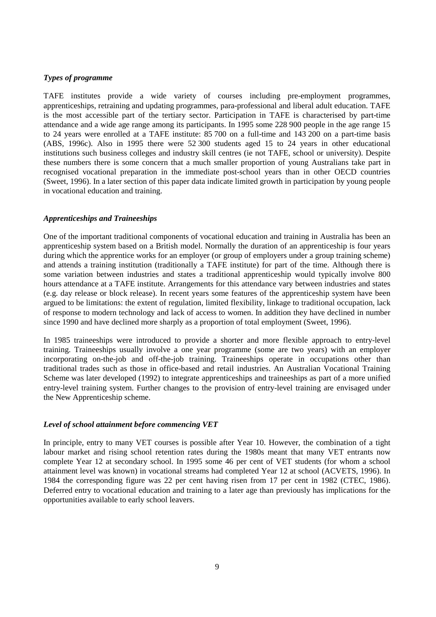## *Types of programme*

TAFE institutes provide a wide variety of courses including pre-employment programmes, apprenticeships, retraining and updating programmes, para-professional and liberal adult education. TAFE is the most accessible part of the tertiary sector. Participation in TAFE is characterised by part-time attendance and a wide age range among its participants. In 1995 some 228 900 people in the age range 15 to 24 years were enrolled at a TAFE institute: 85 700 on a full-time and 143 200 on a part-time basis (ABS, 1996c). Also in 1995 there were 52 300 students aged 15 to 24 years in other educational institutions such business colleges and industry skill centres (ie not TAFE, school or university). Despite these numbers there is some concern that a much smaller proportion of young Australians take part in recognised vocational preparation in the immediate post-school years than in other OECD countries (Sweet, 1996). In a later section of this paper data indicate limited growth in participation by young people in vocational education and training.

#### *Apprenticeships and Traineeships*

One of the important traditional components of vocational education and training in Australia has been an apprenticeship system based on a British model. Normally the duration of an apprenticeship is four years during which the apprentice works for an employer (or group of employers under a group training scheme) and attends a training institution (traditionally a TAFE institute) for part of the time. Although there is some variation between industries and states a traditional apprenticeship would typically involve 800 hours attendance at a TAFE institute. Arrangements for this attendance vary between industries and states (e.g. day release or block release). In recent years some features of the apprenticeship system have been argued to be limitations: the extent of regulation, limited flexibility, linkage to traditional occupation, lack of response to modern technology and lack of access to women. In addition they have declined in number since 1990 and have declined more sharply as a proportion of total employment (Sweet, 1996).

In 1985 traineeships were introduced to provide a shorter and more flexible approach to entry-level training. Traineeships usually involve a one year programme (some are two years) with an employer incorporating on-the-job and off-the-job training. Traineeships operate in occupations other than traditional trades such as those in office-based and retail industries. An Australian Vocational Training Scheme was later developed (1992) to integrate apprenticeships and traineeships as part of a more unified entry-level training system. Further changes to the provision of entry-level training are envisaged under the New Apprenticeship scheme.

#### *Level of school attainment before commencing VET*

In principle, entry to many VET courses is possible after Year 10. However, the combination of a tight labour market and rising school retention rates during the 1980s meant that many VET entrants now complete Year 12 at secondary school. In 1995 some 46 per cent of VET students (for whom a school attainment level was known) in vocational streams had completed Year 12 at school (ACVETS, 1996). In 1984 the corresponding figure was 22 per cent having risen from 17 per cent in 1982 (CTEC, 1986). Deferred entry to vocational education and training to a later age than previously has implications for the opportunities available to early school leavers.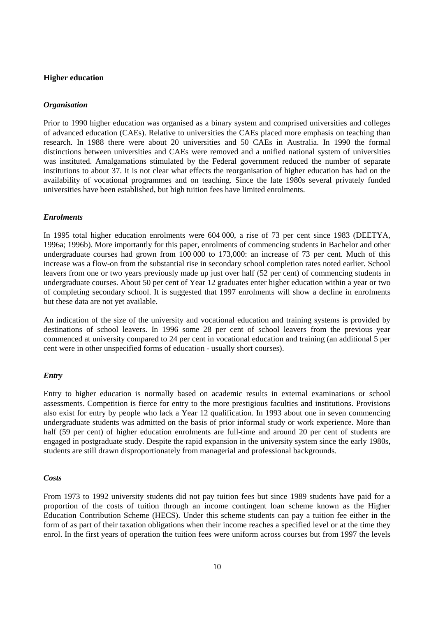### **Higher education**

#### *Organisation*

Prior to 1990 higher education was organised as a binary system and comprised universities and colleges of advanced education (CAEs). Relative to universities the CAEs placed more emphasis on teaching than research. In 1988 there were about 20 universities and 50 CAEs in Australia. In 1990 the formal distinctions between universities and CAEs were removed and a unified national system of universities was instituted. Amalgamations stimulated by the Federal government reduced the number of separate institutions to about 37. It is not clear what effects the reorganisation of higher education has had on the availability of vocational programmes and on teaching. Since the late 1980s several privately funded universities have been established, but high tuition fees have limited enrolments.

#### *Enrolments*

In 1995 total higher education enrolments were 604 000, a rise of 73 per cent since 1983 (DEETYA, 1996a; 1996b). More importantly for this paper, enrolments of commencing students in Bachelor and other undergraduate courses had grown from 100 000 to 173,000: an increase of 73 per cent. Much of this increase was a flow-on from the substantial rise in secondary school completion rates noted earlier. School leavers from one or two years previously made up just over half (52 per cent) of commencing students in undergraduate courses. About 50 per cent of Year 12 graduates enter higher education within a year or two of completing secondary school. It is suggested that 1997 enrolments will show a decline in enrolments but these data are not yet available.

An indication of the size of the university and vocational education and training systems is provided by destinations of school leavers. In 1996 some 28 per cent of school leavers from the previous year commenced at university compared to 24 per cent in vocational education and training (an additional 5 per cent were in other unspecified forms of education - usually short courses).

#### *Entry*

Entry to higher education is normally based on academic results in external examinations or school assessments. Competition is fierce for entry to the more prestigious faculties and institutions. Provisions also exist for entry by people who lack a Year 12 qualification. In 1993 about one in seven commencing undergraduate students was admitted on the basis of prior informal study or work experience. More than half (59 per cent) of higher education enrolments are full-time and around 20 per cent of students are engaged in postgraduate study. Despite the rapid expansion in the university system since the early 1980s, students are still drawn disproportionately from managerial and professional backgrounds.

#### *Costs*

From 1973 to 1992 university students did not pay tuition fees but since 1989 students have paid for a proportion of the costs of tuition through an income contingent loan scheme known as the Higher Education Contribution Scheme (HECS). Under this scheme students can pay a tuition fee either in the form of as part of their taxation obligations when their income reaches a specified level or at the time they enrol. In the first years of operation the tuition fees were uniform across courses but from 1997 the levels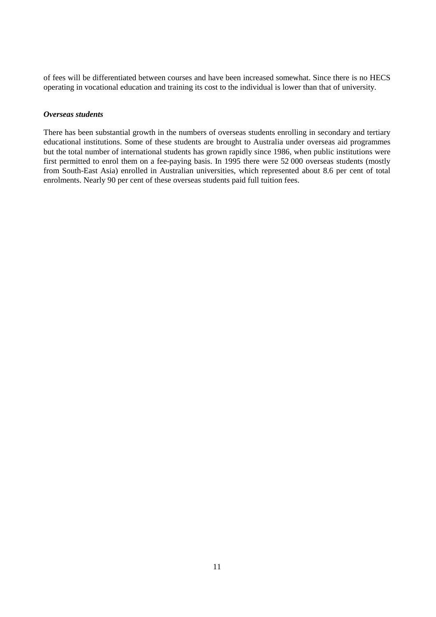of fees will be differentiated between courses and have been increased somewhat. Since there is no HECS operating in vocational education and training its cost to the individual is lower than that of university.

#### *Overseas students*

There has been substantial growth in the numbers of overseas students enrolling in secondary and tertiary educational institutions. Some of these students are brought to Australia under overseas aid programmes but the total number of international students has grown rapidly since 1986, when public institutions were first permitted to enrol them on a fee-paying basis. In 1995 there were 52 000 overseas students (mostly from South-East Asia) enrolled in Australian universities, which represented about 8.6 per cent of total enrolments. Nearly 90 per cent of these overseas students paid full tuition fees.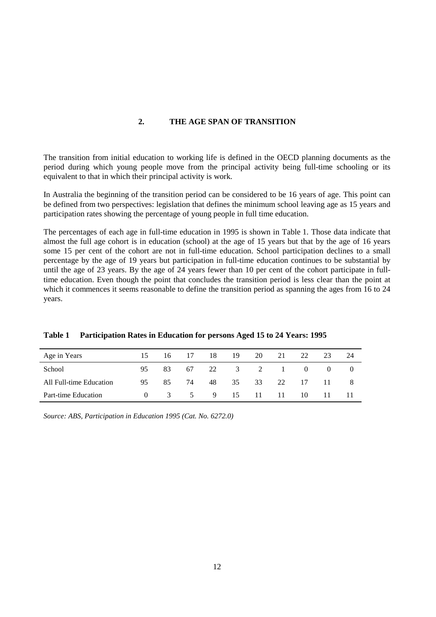## **2. THE AGE SPAN OF TRANSITION**

The transition from initial education to working life is defined in the OECD planning documents as the period during which young people move from the principal activity being full-time schooling or its equivalent to that in which their principal activity is work.

In Australia the beginning of the transition period can be considered to be 16 years of age. This point can be defined from two perspectives: legislation that defines the minimum school leaving age as 15 years and participation rates showing the percentage of young people in full time education.

The percentages of each age in full-time education in 1995 is shown in Table 1. Those data indicate that almost the full age cohort is in education (school) at the age of 15 years but that by the age of 16 years some 15 per cent of the cohort are not in full-time education. School participation declines to a small percentage by the age of 19 years but participation in full-time education continues to be substantial by until the age of 23 years. By the age of 24 years fewer than 10 per cent of the cohort participate in fulltime education. Even though the point that concludes the transition period is less clear than the point at which it commences it seems reasonable to define the transition period as spanning the ages from 16 to 24 years.

| Age in Years            | 15.      | 16 —          | 17 | 18           | 19          | 20 | 21 | 22                                     | 23       | 24  |
|-------------------------|----------|---------------|----|--------------|-------------|----|----|----------------------------------------|----------|-----|
| School                  | 95       | 83            |    | 67 22 3 2 1  |             |    |    | $\begin{array}{ccc} & & 0 \end{array}$ | $\Omega$ | - 0 |
| All Full-time Education | 95       | 85            | 74 |              | 48 35 33 22 |    |    | 17                                     | $-11$    |     |
| Part-time Education     | $\Omega$ | $\mathcal{R}$ |    | 5 9 15 11 11 |             |    |    | 10                                     | 11.      |     |

**Table 1 Participation Rates in Education for persons Aged 15 to 24 Years: 1995**

*Source: ABS, Participation in Education 1995 (Cat. No. 6272.0)*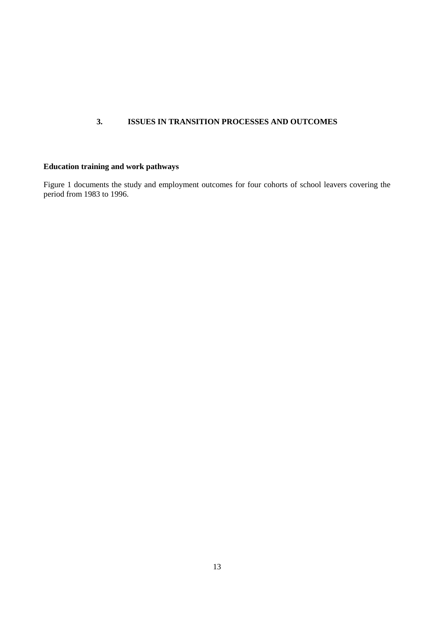## **3. ISSUES IN TRANSITION PROCESSES AND OUTCOMES**

## **Education training and work pathways**

Figure 1 documents the study and employment outcomes for four cohorts of school leavers covering the period from 1983 to 1996.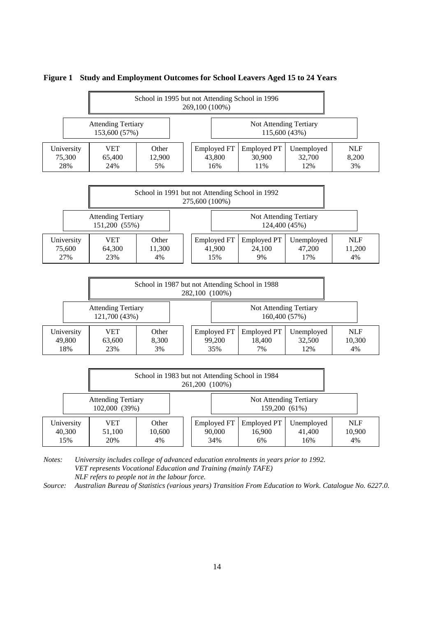

#### **Figure 1 Study and Employment Outcomes for School Leavers Aged 15 to 24 Years**

*Notes: University includes college of advanced education enrolments in years prior to 1992. VET represents Vocational Education and Training (mainly TAFE) NLF refers to people not in the labour force.*

*Source: Australian Bureau of Statistics (various years) Transition From Education to Work. Catalogue No. 6227.0.*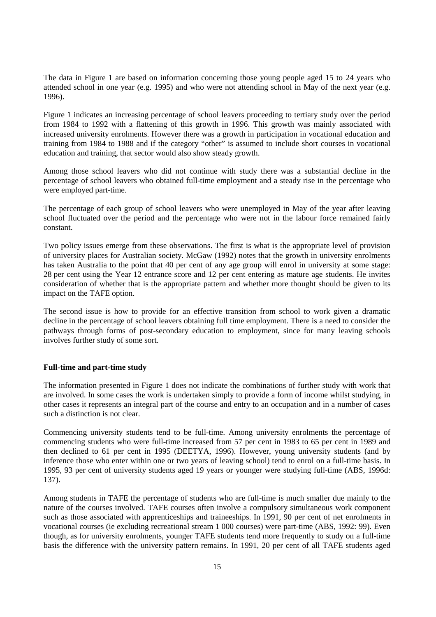The data in Figure 1 are based on information concerning those young people aged 15 to 24 years who attended school in one year (e.g. 1995) and who were not attending school in May of the next year (e.g. 1996).

Figure 1 indicates an increasing percentage of school leavers proceeding to tertiary study over the period from 1984 to 1992 with a flattening of this growth in 1996. This growth was mainly associated with increased university enrolments. However there was a growth in participation in vocational education and training from 1984 to 1988 and if the category "other" is assumed to include short courses in vocational education and training, that sector would also show steady growth.

Among those school leavers who did not continue with study there was a substantial decline in the percentage of school leavers who obtained full-time employment and a steady rise in the percentage who were employed part-time.

The percentage of each group of school leavers who were unemployed in May of the year after leaving school fluctuated over the period and the percentage who were not in the labour force remained fairly constant.

Two policy issues emerge from these observations. The first is what is the appropriate level of provision of university places for Australian society. McGaw (1992) notes that the growth in university enrolments has taken Australia to the point that 40 per cent of any age group will enrol in university at some stage: 28 per cent using the Year 12 entrance score and 12 per cent entering as mature age students. He invites consideration of whether that is the appropriate pattern and whether more thought should be given to its impact on the TAFE option.

The second issue is how to provide for an effective transition from school to work given a dramatic decline in the percentage of school leavers obtaining full time employment. There is a need to consider the pathways through forms of post-secondary education to employment, since for many leaving schools involves further study of some sort.

#### **Full-time and part-time study**

The information presented in Figure 1 does not indicate the combinations of further study with work that are involved. In some cases the work is undertaken simply to provide a form of income whilst studying, in other cases it represents an integral part of the course and entry to an occupation and in a number of cases such a distinction is not clear.

Commencing university students tend to be full-time. Among university enrolments the percentage of commencing students who were full-time increased from 57 per cent in 1983 to 65 per cent in 1989 and then declined to 61 per cent in 1995 (DEETYA, 1996). However, young university students (and by inference those who enter within one or two years of leaving school) tend to enrol on a full-time basis. In 1995, 93 per cent of university students aged 19 years or younger were studying full-time (ABS, 1996d: 137).

Among students in TAFE the percentage of students who are full-time is much smaller due mainly to the nature of the courses involved. TAFE courses often involve a compulsory simultaneous work component such as those associated with apprenticeships and traineeships. In 1991, 90 per cent of net enrolments in vocational courses (ie excluding recreational stream 1 000 courses) were part-time (ABS, 1992: 99). Even though, as for university enrolments, younger TAFE students tend more frequently to study on a full-time basis the difference with the university pattern remains. In 1991, 20 per cent of all TAFE students aged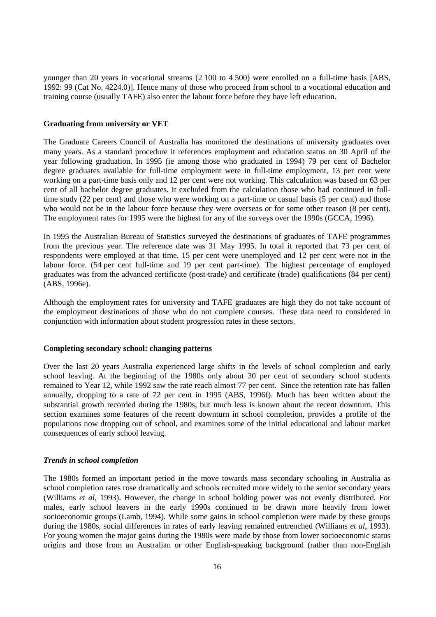younger than 20 years in vocational streams (2 100 to 4 500) were enrolled on a full-time basis [ABS, 1992: 99 (Cat No. 4224.0)]. Hence many of those who proceed from school to a vocational education and training course (usually TAFE) also enter the labour force before they have left education.

#### **Graduating from university or VET**

The Graduate Careers Council of Australia has monitored the destinations of university graduates over many years. As a standard procedure it references employment and education status on 30 April of the year following graduation. In 1995 (ie among those who graduated in 1994) 79 per cent of Bachelor degree graduates available for full-time employment were in full-time employment, 13 per cent were working on a part-time basis only and 12 per cent were not working. This calculation was based on 63 per cent of all bachelor degree graduates. It excluded from the calculation those who had continued in fulltime study (22 per cent) and those who were working on a part-time or casual basis (5 per cent) and those who would not be in the labour force because they were overseas or for some other reason (8 per cent). The employment rates for 1995 were the highest for any of the surveys over the 1990s (GCCA, 1996).

In 1995 the Australian Bureau of Statistics surveyed the destinations of graduates of TAFE programmes from the previous year. The reference date was 31 May 1995. In total it reported that 73 per cent of respondents were employed at that time, 15 per cent were unemployed and 12 per cent were not in the labour force. (54 per cent full-time and 19 per cent part-time). The highest percentage of employed graduates was from the advanced certificate (post-trade) and certificate (trade) qualifications (84 per cent) (ABS, 1996e).

Although the employment rates for university and TAFE graduates are high they do not take account of the employment destinations of those who do not complete courses. These data need to considered in conjunction with information about student progression rates in these sectors.

#### **Completing secondary school: changing patterns**

Over the last 20 years Australia experienced large shifts in the levels of school completion and early school leaving. At the beginning of the 1980s only about 30 per cent of secondary school students remained to Year 12, while 1992 saw the rate reach almost 77 per cent. Since the retention rate has fallen annually, dropping to a rate of 72 per cent in 1995 (ABS, 1996f). Much has been written about the substantial growth recorded during the 1980s, but much less is known about the recent downturn. This section examines some features of the recent downturn in school completion, provides a profile of the populations now dropping out of school, and examines some of the initial educational and labour market consequences of early school leaving.

#### *Trends in school completion*

The 1980s formed an important period in the move towards mass secondary schooling in Australia as school completion rates rose dramatically and schools recruited more widely to the senior secondary years (Williams *et al*, 1993). However, the change in school holding power was not evenly distributed. For males, early school leavers in the early 1990s continued to be drawn more heavily from lower socioeconomic groups (Lamb, 1994). While some gains in school completion were made by these groups during the 1980s, social differences in rates of early leaving remained entrenched (Williams *et al*, 1993). For young women the major gains during the 1980s were made by those from lower socioeconomic status origins and those from an Australian or other English-speaking background (rather than non-English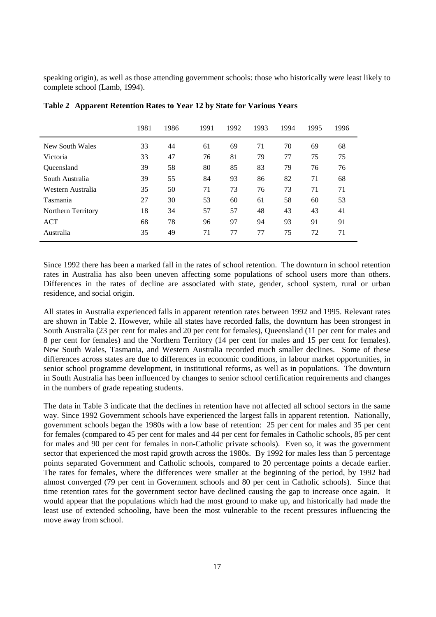speaking origin), as well as those attending government schools: those who historically were least likely to complete school (Lamb, 1994).

|                    | 1981 | 1986 | 1991 | 1992 | 1993 | 1994 | 1995 | 1996 |  |
|--------------------|------|------|------|------|------|------|------|------|--|
| New South Wales    | 33   | 44   | 61   | 69   | 71   | 70   | 69   | 68   |  |
| Victoria           | 33   | 47   | 76   | 81   | 79   | 77   | 75   | 75   |  |
| <b>Oueensland</b>  | 39   | 58   | 80   | 85   | 83   | 79   | 76   | 76   |  |
| South Australia    | 39   | 55   | 84   | 93   | 86   | 82   | 71   | 68   |  |
| Western Australia  | 35   | 50   | 71   | 73   | 76   | 73   | 71   | 71   |  |
| Tasmania           | 27   | 30   | 53   | 60   | 61   | 58   | 60   | 53   |  |
| Northern Territory | 18   | 34   | 57   | 57   | 48   | 43   | 43   | 41   |  |
| <b>ACT</b>         | 68   | 78   | 96   | 97   | 94   | 93   | 91   | 91   |  |
| Australia          | 35   | 49   | 71   | 77   | 77   | 75   | 72   | 71   |  |
|                    |      |      |      |      |      |      |      |      |  |

**Table 2 Apparent Retention Rates to Year 12 by State for Various Years**

Since 1992 there has been a marked fall in the rates of school retention. The downturn in school retention rates in Australia has also been uneven affecting some populations of school users more than others. Differences in the rates of decline are associated with state, gender, school system, rural or urban residence, and social origin.

All states in Australia experienced falls in apparent retention rates between 1992 and 1995. Relevant rates are shown in Table 2. However, while all states have recorded falls, the downturn has been strongest in South Australia (23 per cent for males and 20 per cent for females), Queensland (11 per cent for males and 8 per cent for females) and the Northern Territory (14 per cent for males and 15 per cent for females). New South Wales, Tasmania, and Western Australia recorded much smaller declines. Some of these differences across states are due to differences in economic conditions, in labour market opportunities, in senior school programme development, in institutional reforms, as well as in populations. The downturn in South Australia has been influenced by changes to senior school certification requirements and changes in the numbers of grade repeating students.

The data in Table 3 indicate that the declines in retention have not affected all school sectors in the same way. Since 1992 Government schools have experienced the largest falls in apparent retention. Nationally, government schools began the 1980s with a low base of retention: 25 per cent for males and 35 per cent for females (compared to 45 per cent for males and 44 per cent for females in Catholic schools, 85 per cent for males and 90 per cent for females in non-Catholic private schools). Even so, it was the government sector that experienced the most rapid growth across the 1980s. By 1992 for males less than 5 percentage points separated Government and Catholic schools, compared to 20 percentage points a decade earlier. The rates for females, where the differences were smaller at the beginning of the period, by 1992 had almost converged (79 per cent in Government schools and 80 per cent in Catholic schools). Since that time retention rates for the government sector have declined causing the gap to increase once again. It would appear that the populations which had the most ground to make up, and historically had made the least use of extended schooling, have been the most vulnerable to the recent pressures influencing the move away from school.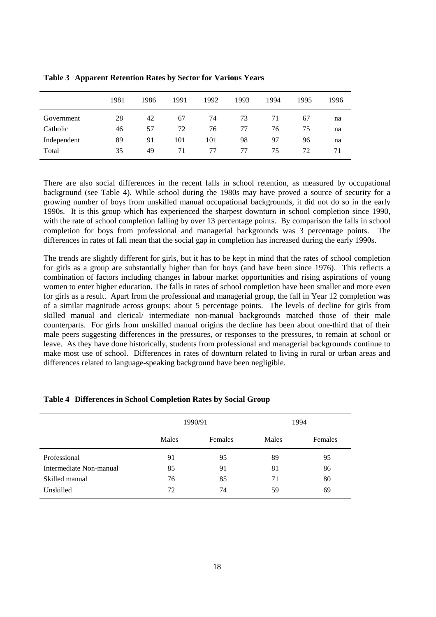|             | 1981 | 1986 | 1991 | 1992 | 1993 | 1994 | 1995 | 1996 |
|-------------|------|------|------|------|------|------|------|------|
| Government  | 28   | 42   | 67   | 74   | 73   | 71   | 67   | na   |
| Catholic    | 46   | 57   | 72   | 76   | 77   | 76   | 75   | na   |
| Independent | 89   | 91   | 101  | 101  | 98   | 97   | 96   | na   |
| Total       | 35   | 49   | 71   | 77   | 77   | 75   | 72   | 71   |

**Table 3 Apparent Retention Rates by Sector for Various Years**

There are also social differences in the recent falls in school retention, as measured by occupational background (see Table 4). While school during the 1980s may have proved a source of security for a growing number of boys from unskilled manual occupational backgrounds, it did not do so in the early 1990s. It is this group which has experienced the sharpest downturn in school completion since 1990, with the rate of school completion falling by over 13 percentage points. By comparison the falls in school completion for boys from professional and managerial backgrounds was 3 percentage points. The differences in rates of fall mean that the social gap in completion has increased during the early 1990s.

The trends are slightly different for girls, but it has to be kept in mind that the rates of school completion for girls as a group are substantially higher than for boys (and have been since 1976). This reflects a combination of factors including changes in labour market opportunities and rising aspirations of young women to enter higher education. The falls in rates of school completion have been smaller and more even for girls as a result. Apart from the professional and managerial group, the fall in Year 12 completion was of a similar magnitude across groups: about 5 percentage points. The levels of decline for girls from skilled manual and clerical/ intermediate non-manual backgrounds matched those of their male counterparts. For girls from unskilled manual origins the decline has been about one-third that of their male peers suggesting differences in the pressures, or responses to the pressures, to remain at school or leave. As they have done historically, students from professional and managerial backgrounds continue to make most use of school. Differences in rates of downturn related to living in rural or urban areas and differences related to language-speaking background have been negligible.

|                         |       | 1990/91 |       | 1994    |
|-------------------------|-------|---------|-------|---------|
|                         | Males | Females | Males | Females |
| Professional            | 91    | 95      | 89    | 95      |
| Intermediate Non-manual | 85    | 91      | 81    | 86      |
| Skilled manual          | 76    | 85      | 71    | 80      |
| Unskilled               | 72    | 74      | 59    | 69      |

#### **Table 4 Differences in School Completion Rates by Social Group**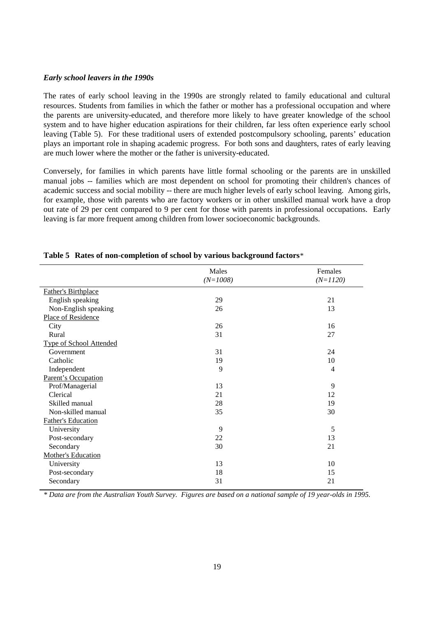#### *Early school leavers in the 1990s*

The rates of early school leaving in the 1990s are strongly related to family educational and cultural resources. Students from families in which the father or mother has a professional occupation and where the parents are university-educated, and therefore more likely to have greater knowledge of the school system and to have higher education aspirations for their children, far less often experience early school leaving (Table 5). For these traditional users of extended postcompulsory schooling, parents' education plays an important role in shaping academic progress. For both sons and daughters, rates of early leaving are much lower where the mother or the father is university-educated.

Conversely, for families in which parents have little formal schooling or the parents are in unskilled manual jobs -- families which are most dependent on school for promoting their children's chances of academic success and social mobility -- there are much higher levels of early school leaving. Among girls, for example, those with parents who are factory workers or in other unskilled manual work have a drop out rate of 29 per cent compared to 9 per cent for those with parents in professional occupations. Early leaving is far more frequent among children from lower socioeconomic backgrounds.

|                                | Males      | Females        |
|--------------------------------|------------|----------------|
|                                | $(N=1008)$ | $(N=1120)$     |
| <b>Father's Birthplace</b>     |            |                |
| English speaking               | 29         | 21             |
| Non-English speaking           | 26         | 13             |
| Place of Residence             |            |                |
| City                           | 26         | 16             |
| Rural                          | 31         | 27             |
| <b>Type of School Attended</b> |            |                |
| Government                     | 31         | 24             |
| Catholic                       | 19         | 10             |
| Independent                    | 9          | $\overline{4}$ |
| Parent's Occupation            |            |                |
| Prof/Managerial                | 13         | 9              |
| Clerical                       | 21         | 12             |
| Skilled manual                 | 28         | 19             |
| Non-skilled manual             | 35         | 30             |
| Father's Education             |            |                |
| University                     | 9          | 5              |
| Post-secondary                 | 22         | 13             |
| Secondary                      | 30         | 21             |
| <b>Mother's Education</b>      |            |                |
| University                     | 13         | 10             |
| Post-secondary                 | 18         | 15             |
| Secondary                      | 31         | 21             |
|                                |            |                |

#### **Table 5 Rates of non-completion of school by various background factors***\**

*\* Data are from the Australian Youth Survey. Figures are based on a national sample of 19 year-olds in 1995.*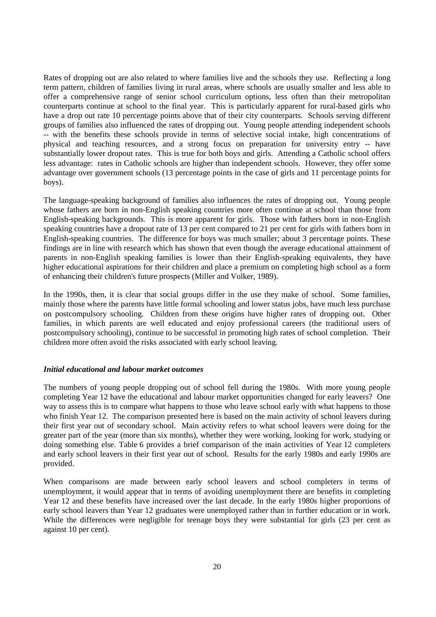Rates of dropping out are also related to where families live and the schools they use. Reflecting a long term pattern, children of families living in rural areas, where schools are usually smaller and less able to offer a comprehensive range of senior school curriculum options, less often than their metropolitan counterparts continue at school to the final year. This is particularly apparent for rural-based girls who have a drop out rate 10 percentage points above that of their city counterparts. Schools serving different groups of families also influenced the rates of dropping out. Young people attending independent schools -- with the benefits these schools provide in terms of selective social intake, high concentrations of physical and teaching resources, and a strong focus on preparation for university entry -- have substantially lower dropout rates. This is true for both boys and girls. Attending a Catholic school offers less advantage: rates in Catholic schools are higher than independent schools. However, they offer some advantage over government schools (13 percentage points in the case of girls and 11 percentage points for boys).

The language-speaking background of families also influences the rates of dropping out. Young people whose fathers are born in non-English speaking countries more often continue at school than those from English-speaking backgrounds. This is more apparent for girls. Those with fathers born in non-English speaking countries have a dropout rate of 13 per cent compared to 21 per cent for girls with fathers born in English-speaking countries. The difference for boys was much smaller; about 3 percentage points. These findings are in line with research which has shown that even though the average educational attainment of parents in non-English speaking families is lower than their English-speaking equivalents, they have higher educational aspirations for their children and place a premium on completing high school as a form of enhancing their children's future prospects (Miller and Volker, 1989).

In the 1990s, then, it is clear that social groups differ in the use they make of school. Some families, mainly those where the parents have little formal schooling and lower status jobs, have much less purchase on postcompulsory schooling. Children from these origins have higher rates of dropping out. Other families, in which parents are well educated and enjoy professional careers (the traditional users of postcompulsory schooling), continue to be successful in promoting high rates of school completion. Their children more often avoid the risks associated with early school leaving.

#### *Initial educational and labour market outcomes*

The numbers of young people dropping out of school fell during the 1980s. With more young people completing Year 12 have the educational and labour market opportunities changed for early leavers? One way to assess this is to compare what happens to those who leave school early with what happens to those who finish Year 12. The comparison presented here is based on the main activity of school leavers during their first year out of secondary school. Main activity refers to what school leavers were doing for the greater part of the year (more than six months), whether they were working, looking for work, studying or doing something else. Table 6 provides a brief comparison of the main activities of Year 12 completers and early school leavers in their first year out of school. Results for the early 1980s and early 1990s are provided.

When comparisons are made between early school leavers and school completers in terms of unemployment, it would appear that in terms of avoiding unemployment there are benefits in completing Year 12 and these benefits have increased over the last decade. In the early 1980s higher proportions of early school leavers than Year 12 graduates were unemployed rather than in further education or in work. While the differences were negligible for teenage boys they were substantial for girls (23 per cent as against 10 per cent).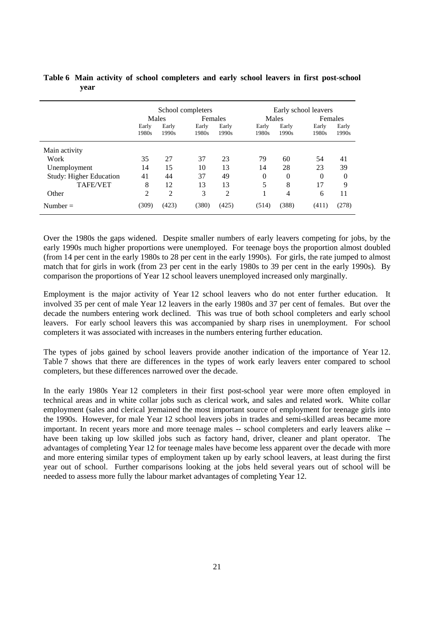|                                | School completers |                |                |                | Early school leavers |                |                |                |  |
|--------------------------------|-------------------|----------------|----------------|----------------|----------------------|----------------|----------------|----------------|--|
|                                | Males             |                | Females        |                |                      | Males          |                | Females        |  |
|                                | Early<br>1980s    | Early<br>1990s | Early<br>1980s | Early<br>1990s | Early<br>1980s       | Early<br>1990s | Early<br>1980s | Early<br>1990s |  |
| Main activity                  |                   |                |                |                |                      |                |                |                |  |
| Work                           | 35                | 27             | 37             | 23             | 79                   | 60             | 54             | 41             |  |
| Unemployment                   | 14                | 15             | 10             | 13             | 14                   | 28             | 23             | 39             |  |
| <b>Study: Higher Education</b> | 41                | 44             | 37             | 49             | $\Omega$             | $\Omega$       | $\Omega$       | $\theta$       |  |
| <b>TAFE/VET</b>                | 8                 | 12             | 13             | 13             | 5                    | 8              | 17             | 9              |  |
| Other                          | $\overline{2}$    | $\overline{2}$ | 3              | $\overline{2}$ |                      | 4              | 6              | 11             |  |
| Number $=$                     | (309)             | (423)          | (380)          | (425)          | (514)                | (388)          | (411)          | (278)          |  |

## **Table 6 Main activity of school completers and early school leavers in first post-school year**

Over the 1980s the gaps widened. Despite smaller numbers of early leavers competing for jobs, by the early 1990s much higher proportions were unemployed. For teenage boys the proportion almost doubled (from 14 per cent in the early 1980s to 28 per cent in the early 1990s). For girls, the rate jumped to almost match that for girls in work (from 23 per cent in the early 1980s to 39 per cent in the early 1990s). By comparison the proportions of Year 12 school leavers unemployed increased only marginally.

Employment is the major activity of Year 12 school leavers who do not enter further education. It involved 35 per cent of male Year 12 leavers in the early 1980s and 37 per cent of females. But over the decade the numbers entering work declined. This was true of both school completers and early school leavers. For early school leavers this was accompanied by sharp rises in unemployment. For school completers it was associated with increases in the numbers entering further education.

The types of jobs gained by school leavers provide another indication of the importance of Year 12. Table 7 shows that there are differences in the types of work early leavers enter compared to school completers, but these differences narrowed over the decade.

In the early 1980s Year 12 completers in their first post-school year were more often employed in technical areas and in white collar jobs such as clerical work, and sales and related work. White collar employment (sales and clerical )remained the most important source of employment for teenage girls into the 1990s. However, for male Year 12 school leavers jobs in trades and semi-skilled areas became more important. In recent years more and more teenage males -- school completers and early leavers alike - have been taking up low skilled jobs such as factory hand, driver, cleaner and plant operator. The advantages of completing Year 12 for teenage males have become less apparent over the decade with more and more entering similar types of employment taken up by early school leavers, at least during the first year out of school. Further comparisons looking at the jobs held several years out of school will be needed to assess more fully the labour market advantages of completing Year 12.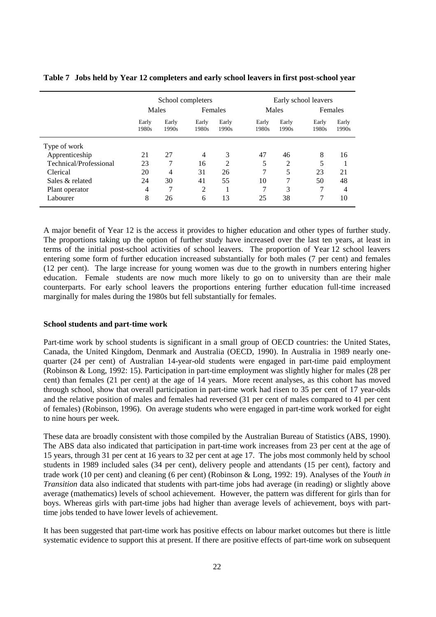|                        | School completers |                |                |                | Early school leavers |                |                |                |
|------------------------|-------------------|----------------|----------------|----------------|----------------------|----------------|----------------|----------------|
|                        | Males             |                | Females        |                | Males                |                | Females        |                |
|                        | Early<br>1980s    | Early<br>1990s | Early<br>1980s | Early<br>1990s | Early<br>1980s       | Early<br>1990s | Early<br>1980s | Early<br>1990s |
| Type of work           |                   |                |                |                |                      |                |                |                |
| Apprenticeship         | 21                | 27             | $\overline{4}$ | 3              | 47                   | 46             | 8              | 16             |
| Technical/Professional | 23                |                | 16             | 2              | 5                    | 2              | 5              |                |
| Clerical               | 20                | 4              | 31             | 26             | 7                    | 5              | 23             | 21             |
| Sales & related        | 24                | 30             | 41             | 55             | 10                   | 7              | 50             | 48             |
| Plant operator         | $\overline{4}$    | $\mathcal{I}$  | 2              |                | 7                    | 3              |                | 4              |
| Labourer               | 8                 | 26             | 6              | 13             | 25                   | 38             |                | 10             |

**Table 7 Jobs held by Year 12 completers and early school leavers in first post-school year**

A major benefit of Year 12 is the access it provides to higher education and other types of further study. The proportions taking up the option of further study have increased over the last ten years, at least in terms of the initial post-school activities of school leavers. The proportion of Year 12 school leavers entering some form of further education increased substantially for both males (7 per cent) and females (12 per cent). The large increase for young women was due to the growth in numbers entering higher education. Female students are now much more likely to go on to university than are their male counterparts. For early school leavers the proportions entering further education full-time increased marginally for males during the 1980s but fell substantially for females.

#### **School students and part-time work**

Part-time work by school students is significant in a small group of OECD countries: the United States, Canada, the United Kingdom, Denmark and Australia (OECD, 1990). In Australia in 1989 nearly onequarter (24 per cent) of Australian 14-year-old students were engaged in part-time paid employment (Robinson & Long, 1992: 15). Participation in part-time employment was slightly higher for males (28 per cent) than females (21 per cent) at the age of 14 years. More recent analyses, as this cohort has moved through school, show that overall participation in part-time work had risen to 35 per cent of 17 year-olds and the relative position of males and females had reversed (31 per cent of males compared to 41 per cent of females) (Robinson, 1996). On average students who were engaged in part-time work worked for eight to nine hours per week.

These data are broadly consistent with those compiled by the Australian Bureau of Statistics (ABS, 1990). The ABS data also indicated that participation in part-time work increases from 23 per cent at the age of 15 years, through 31 per cent at 16 years to 32 per cent at age 17. The jobs most commonly held by school students in 1989 included sales (34 per cent), delivery people and attendants (15 per cent), factory and trade work (10 per cent) and cleaning (6 per cent) (Robinson & Long, 1992: 19). Analyses of the *Youth in Transition* data also indicated that students with part-time jobs had average (in reading) or slightly above average (mathematics) levels of school achievement. However, the pattern was different for girls than for boys. Whereas girls with part-time jobs had higher than average levels of achievement, boys with parttime jobs tended to have lower levels of achievement.

It has been suggested that part-time work has positive effects on labour market outcomes but there is little systematic evidence to support this at present. If there are positive effects of part-time work on subsequent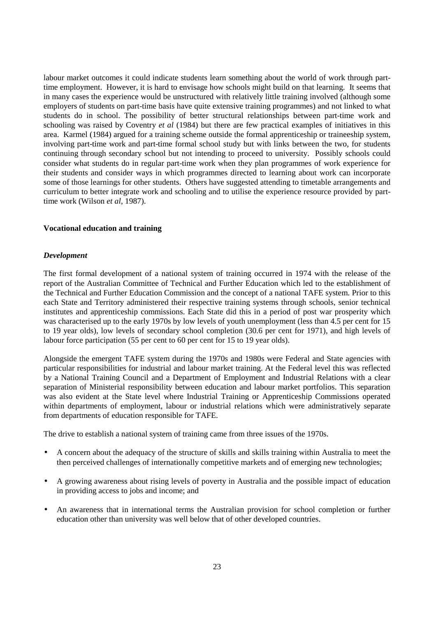labour market outcomes it could indicate students learn something about the world of work through parttime employment. However, it is hard to envisage how schools might build on that learning. It seems that in many cases the experience would be unstructured with relatively little training involved (although some employers of students on part-time basis have quite extensive training programmes) and not linked to what students do in school. The possibility of better structural relationships between part-time work and schooling was raised by Coventry *et al* (1984) but there are few practical examples of initiatives in this area. Karmel (1984) argued for a training scheme outside the formal apprenticeship or traineeship system, involving part-time work and part-time formal school study but with links between the two, for students continuing through secondary school but not intending to proceed to university. Possibly schools could consider what students do in regular part-time work when they plan programmes of work experience for their students and consider ways in which programmes directed to learning about work can incorporate some of those learnings for other students. Others have suggested attending to timetable arrangements and curriculum to better integrate work and schooling and to utilise the experience resource provided by parttime work (Wilson *et al*, 1987).

#### **Vocational education and training**

#### *Development*

The first formal development of a national system of training occurred in 1974 with the release of the report of the Australian Committee of Technical and Further Education which led to the establishment of the Technical and Further Education Commission and the concept of a national TAFE system. Prior to this each State and Territory administered their respective training systems through schools, senior technical institutes and apprenticeship commissions. Each State did this in a period of post war prosperity which was characterised up to the early 1970s by low levels of youth unemployment (less than 4.5 per cent for 15 to 19 year olds), low levels of secondary school completion (30.6 per cent for 1971), and high levels of labour force participation (55 per cent to 60 per cent for 15 to 19 year olds).

Alongside the emergent TAFE system during the 1970s and 1980s were Federal and State agencies with particular responsibilities for industrial and labour market training. At the Federal level this was reflected by a National Training Council and a Department of Employment and Industrial Relations with a clear separation of Ministerial responsibility between education and labour market portfolios. This separation was also evident at the State level where Industrial Training or Apprenticeship Commissions operated within departments of employment, labour or industrial relations which were administratively separate from departments of education responsible for TAFE.

The drive to establish a national system of training came from three issues of the 1970s.

- A concern about the adequacy of the structure of skills and skills training within Australia to meet the then perceived challenges of internationally competitive markets and of emerging new technologies;
- A growing awareness about rising levels of poverty in Australia and the possible impact of education in providing access to jobs and income; and
- An awareness that in international terms the Australian provision for school completion or further education other than university was well below that of other developed countries.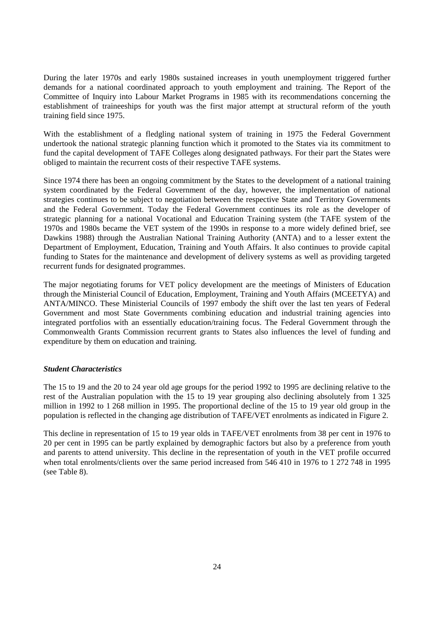During the later 1970s and early 1980s sustained increases in youth unemployment triggered further demands for a national coordinated approach to youth employment and training. The Report of the Committee of Inquiry into Labour Market Programs in 1985 with its recommendations concerning the establishment of traineeships for youth was the first major attempt at structural reform of the youth training field since 1975.

With the establishment of a fledgling national system of training in 1975 the Federal Government undertook the national strategic planning function which it promoted to the States via its commitment to fund the capital development of TAFE Colleges along designated pathways. For their part the States were obliged to maintain the recurrent costs of their respective TAFE systems.

Since 1974 there has been an ongoing commitment by the States to the development of a national training system coordinated by the Federal Government of the day, however, the implementation of national strategies continues to be subject to negotiation between the respective State and Territory Governments and the Federal Government. Today the Federal Government continues its role as the developer of strategic planning for a national Vocational and Education Training system (the TAFE system of the 1970s and 1980s became the VET system of the 1990s in response to a more widely defined brief, see Dawkins 1988) through the Australian National Training Authority (ANTA) and to a lesser extent the Department of Employment, Education, Training and Youth Affairs. It also continues to provide capital funding to States for the maintenance and development of delivery systems as well as providing targeted recurrent funds for designated programmes.

The major negotiating forums for VET policy development are the meetings of Ministers of Education through the Ministerial Council of Education, Employment, Training and Youth Affairs (MCEETYA) and ANTA/MINCO. These Ministerial Councils of 1997 embody the shift over the last ten years of Federal Government and most State Governments combining education and industrial training agencies into integrated portfolios with an essentially education/training focus. The Federal Government through the Commonwealth Grants Commission recurrent grants to States also influences the level of funding and expenditure by them on education and training.

#### *Student Characteristics*

The 15 to 19 and the 20 to 24 year old age groups for the period 1992 to 1995 are declining relative to the rest of the Australian population with the 15 to 19 year grouping also declining absolutely from 1 325 million in 1992 to 1 268 million in 1995. The proportional decline of the 15 to 19 year old group in the population is reflected in the changing age distribution of TAFE/VET enrolments as indicated in Figure 2.

This decline in representation of 15 to 19 year olds in TAFE/VET enrolments from 38 per cent in 1976 to 20 per cent in 1995 can be partly explained by demographic factors but also by a preference from youth and parents to attend university. This decline in the representation of youth in the VET profile occurred when total enrolments/clients over the same period increased from 546 410 in 1976 to 1 272 748 in 1995 (see Table 8).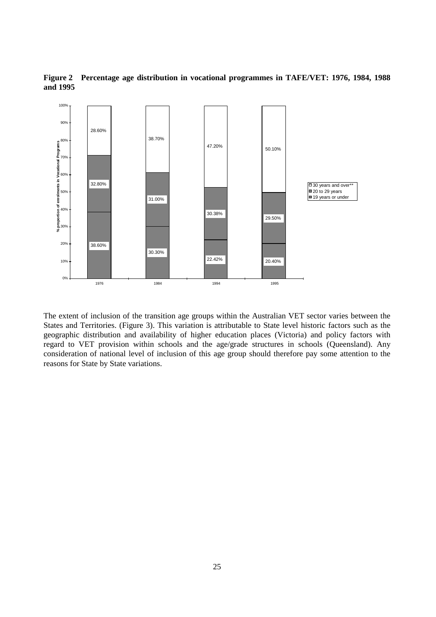

**Figure 2 Percentage age distribution in vocational programmes in TAFE/VET: 1976, 1984, 1988 and 1995**

The extent of inclusion of the transition age groups within the Australian VET sector varies between the States and Territories. (Figure 3). This variation is attributable to State level historic factors such as the geographic distribution and availability of higher education places (Victoria) and policy factors with regard to VET provision within schools and the age/grade structures in schools (Queensland). Any consideration of national level of inclusion of this age group should therefore pay some attention to the reasons for State by State variations.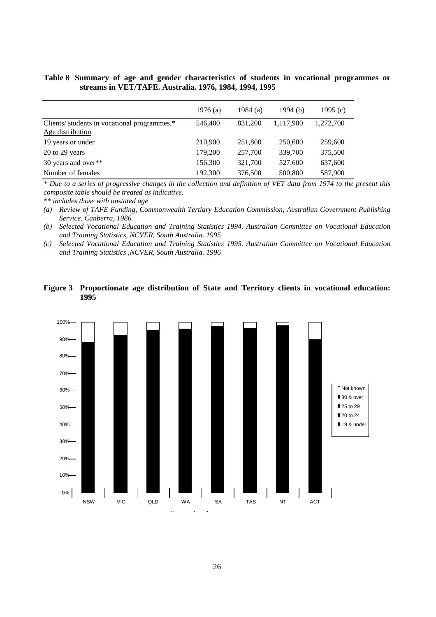## **Table 8 Summary of age and gender characteristics of students in vocational programmes or streams in VET/TAFE. Australia. 1976, 1984, 1994, 1995**

|                                              | 1976 $(a)$ | 1984 $(a)$ | 1994 $(b)$ | 1995 $(c)$ |
|----------------------------------------------|------------|------------|------------|------------|
| Clients/ students in vocational programmes.* | 546,400    | 831.200    | 1,117,900  | 1,272,700  |
| Age distribution                             |            |            |            |            |
| 19 years or under                            | 210,900    | 251,800    | 250,600    | 259,600    |
| $20$ to $29$ years                           | 179,200    | 257,700    | 339,700    | 375,500    |
| 30 years and over**                          | 156,300    | 321,700    | 527,600    | 637,600    |
| Number of females                            | 192,300    | 376,500    | 500,800    | 587,900    |

*\* Due to a series of progressive changes in the collection and definition of VET data from 1974 to the present this composite table should be treated as indicative.*

*\*\* includes those with unstated age*

*(a) Review of TAFE Funding, Commonwealth Tertiary Education Commission, Australian Government Publishing Service, Canberra, 1986.*

*(b) Selected Vocational Education and Training Statistics 1994. Australian Committee on Vocational Education and Training Statistics, NCVER, South Australia. 1995*

*(c) Selected Vocational Education and Training Statistics 1995. Australian Committee on Vocational Education and Training Statistics ,NCVER, South Australia. 1996*

## **Figure 3 Proportionate age distribution of State and Territory clients in vocational education: 1995**

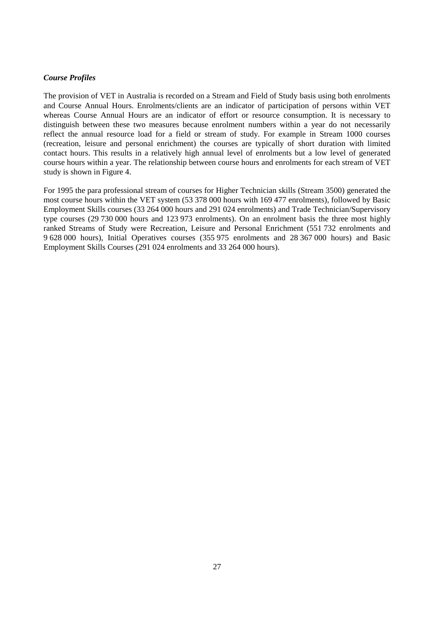## *Course Profiles*

The provision of VET in Australia is recorded on a Stream and Field of Study basis using both enrolments and Course Annual Hours. Enrolments/clients are an indicator of participation of persons within VET whereas Course Annual Hours are an indicator of effort or resource consumption. It is necessary to distinguish between these two measures because enrolment numbers within a year do not necessarily reflect the annual resource load for a field or stream of study. For example in Stream 1000 courses (recreation, leisure and personal enrichment) the courses are typically of short duration with limited contact hours. This results in a relatively high annual level of enrolments but a low level of generated course hours within a year. The relationship between course hours and enrolments for each stream of VET study is shown in Figure 4.

For 1995 the para professional stream of courses for Higher Technician skills (Stream 3500) generated the most course hours within the VET system (53 378 000 hours with 169 477 enrolments), followed by Basic Employment Skills courses (33 264 000 hours and 291 024 enrolments) and Trade Technician/Supervisory type courses (29 730 000 hours and 123 973 enrolments). On an enrolment basis the three most highly ranked Streams of Study were Recreation, Leisure and Personal Enrichment (551 732 enrolments and 9 628 000 hours), Initial Operatives courses (355 975 enrolments and 28 367 000 hours) and Basic Employment Skills Courses (291 024 enrolments and 33 264 000 hours).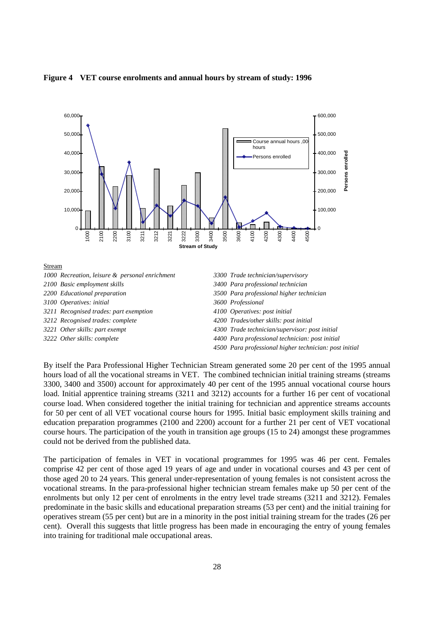

#### **Figure 4 VET course enrolments and annual hours by stream of study: 1996**

By itself the Para Professional Higher Technician Stream generated some 20 per cent of the 1995 annual hours load of all the vocational streams in VET. The combined technician initial training streams (streams 3300, 3400 and 3500) account for approximately 40 per cent of the 1995 annual vocational course hours load. Initial apprentice training streams (3211 and 3212) accounts for a further 16 per cent of vocational course load. When considered together the initial training for technician and apprentice streams accounts for 50 per cent of all VET vocational course hours for 1995. Initial basic employment skills training and education preparation programmes (2100 and 2200) account for a further 21 per cent of VET vocational course hours. The participation of the youth in transition age groups (15 to 24) amongst these programmes could not be derived from the published data.

The participation of females in VET in vocational programmes for 1995 was 46 per cent. Females comprise 42 per cent of those aged 19 years of age and under in vocational courses and 43 per cent of those aged 20 to 24 years. This general under-representation of young females is not consistent across the vocational streams. In the para-professional higher technician stream females make up 50 per cent of the enrolments but only 12 per cent of enrolments in the entry level trade streams (3211 and 3212). Females predominate in the basic skills and educational preparation streams (53 per cent) and the initial training for operatives stream (55 per cent) but are in a minority in the post initial training stream for the trades (26 per cent). Overall this suggests that little progress has been made in encouraging the entry of young females into training for traditional male occupational areas.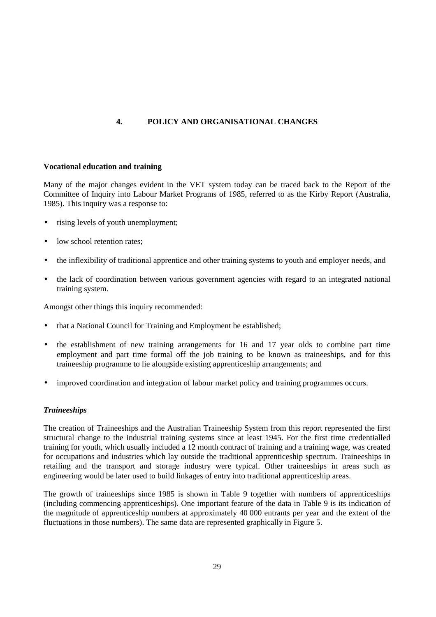## **4. POLICY AND ORGANISATIONAL CHANGES**

#### **Vocational education and training**

Many of the major changes evident in the VET system today can be traced back to the Report of the Committee of Inquiry into Labour Market Programs of 1985, referred to as the Kirby Report (Australia, 1985). This inquiry was a response to:

- rising levels of youth unemployment;
- low school retention rates:
- the inflexibility of traditional apprentice and other training systems to youth and employer needs, and
- the lack of coordination between various government agencies with regard to an integrated national training system.

Amongst other things this inquiry recommended:

- that a National Council for Training and Employment be established;
- the establishment of new training arrangements for 16 and 17 year olds to combine part time employment and part time formal off the job training to be known as traineeships, and for this traineeship programme to lie alongside existing apprenticeship arrangements; and
- improved coordination and integration of labour market policy and training programmes occurs.

## *Traineeships*

The creation of Traineeships and the Australian Traineeship System from this report represented the first structural change to the industrial training systems since at least 1945. For the first time credentialled training for youth, which usually included a 12 month contract of training and a training wage, was created for occupations and industries which lay outside the traditional apprenticeship spectrum. Traineeships in retailing and the transport and storage industry were typical. Other traineeships in areas such as engineering would be later used to build linkages of entry into traditional apprenticeship areas.

The growth of traineeships since 1985 is shown in Table 9 together with numbers of apprenticeships (including commencing apprenticeships). One important feature of the data in Table 9 is its indication of the magnitude of apprenticeship numbers at approximately 40 000 entrants per year and the extent of the fluctuations in those numbers). The same data are represented graphically in Figure 5.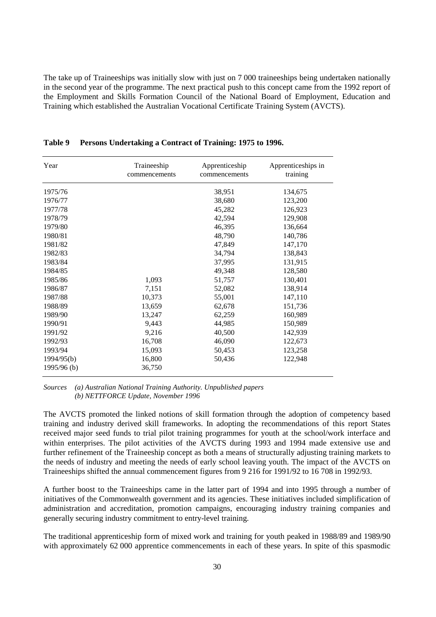The take up of Traineeships was initially slow with just on 7 000 traineeships being undertaken nationally in the second year of the programme. The next practical push to this concept came from the 1992 report of the Employment and Skills Formation Council of the National Board of Employment, Education and Training which established the Australian Vocational Certificate Training System (AVCTS).

| Year        | Traineeship<br>commencements | Apprenticeship<br>commencements | Apprenticeships in<br>training |
|-------------|------------------------------|---------------------------------|--------------------------------|
| 1975/76     |                              | 38,951                          | 134,675                        |
| 1976/77     |                              | 38,680                          | 123,200                        |
| 1977/78     |                              | 45,282                          | 126,923                        |
| 1978/79     |                              | 42,594                          | 129,908                        |
| 1979/80     |                              | 46,395                          | 136,664                        |
| 1980/81     |                              | 48,790                          | 140,786                        |
| 1981/82     |                              | 47,849                          | 147,170                        |
| 1982/83     |                              | 34,794                          | 138,843                        |
| 1983/84     |                              | 37,995                          | 131,915                        |
| 1984/85     |                              | 49,348                          | 128,580                        |
| 1985/86     | 1,093                        | 51,757                          | 130,401                        |
| 1986/87     | 7,151                        | 52,082                          | 138,914                        |
| 1987/88     | 10,373                       | 55,001                          | 147,110                        |
| 1988/89     | 13,659                       | 62,678                          | 151,736                        |
| 1989/90     | 13,247                       | 62,259                          | 160,989                        |
| 1990/91     | 9,443                        | 44,985                          | 150,989                        |
| 1991/92     | 9,216                        | 40,500                          | 142,939                        |
| 1992/93     | 16,708                       | 46,090                          | 122,673                        |
| 1993/94     | 15,093                       | 50,453                          | 123,258                        |
| 1994/95(b)  | 16,800                       | 50,436                          | 122,948                        |
| 1995/96 (b) | 36,750                       |                                 |                                |

**Table 9 Persons Undertaking a Contract of Training: 1975 to 1996.**

*Sources (a) Australian National Training Authority. Unpublished papers (b) NETTFORCE Update, November 1996*

The AVCTS promoted the linked notions of skill formation through the adoption of competency based training and industry derived skill frameworks. In adopting the recommendations of this report States received major seed funds to trial pilot training programmes for youth at the school/work interface and within enterprises. The pilot activities of the AVCTS during 1993 and 1994 made extensive use and further refinement of the Traineeship concept as both a means of structurally adjusting training markets to the needs of industry and meeting the needs of early school leaving youth. The impact of the AVCTS on Traineeships shifted the annual commencement figures from 9 216 for 1991/92 to 16 708 in 1992/93.

A further boost to the Traineeships came in the latter part of 1994 and into 1995 through a number of initiatives of the Commonwealth government and its agencies. These initiatives included simplification of administration and accreditation, promotion campaigns, encouraging industry training companies and generally securing industry commitment to entry-level training.

The traditional apprenticeship form of mixed work and training for youth peaked in 1988/89 and 1989/90 with approximately 62 000 apprentice commencements in each of these years. In spite of this spasmodic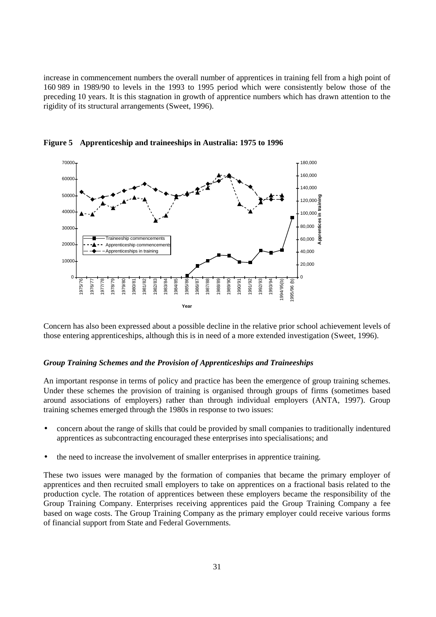increase in commencement numbers the overall number of apprentices in training fell from a high point of 160 989 in 1989/90 to levels in the 1993 to 1995 period which were consistently below those of the preceding 10 years. It is this stagnation in growth of apprentice numbers which has drawn attention to the rigidity of its structural arrangements (Sweet, 1996).



**Figure 5 Apprenticeship and traineeships in Australia: 1975 to 1996**

Concern has also been expressed about a possible decline in the relative prior school achievement levels of those entering apprenticeships, although this is in need of a more extended investigation (Sweet, 1996).

#### *Group Training Schemes and the Provision of Apprenticeships and Traineeships*

An important response in terms of policy and practice has been the emergence of group training schemes. Under these schemes the provision of training is organised through groups of firms (sometimes based around associations of employers) rather than through individual employers (ANTA, 1997). Group training schemes emerged through the 1980s in response to two issues:

- concern about the range of skills that could be provided by small companies to traditionally indentured apprentices as subcontracting encouraged these enterprises into specialisations; and
- the need to increase the involvement of smaller enterprises in apprentice training.

These two issues were managed by the formation of companies that became the primary employer of apprentices and then recruited small employers to take on apprentices on a fractional basis related to the production cycle. The rotation of apprentices between these employers became the responsibility of the Group Training Company. Enterprises receiving apprentices paid the Group Training Company a fee based on wage costs. The Group Training Company as the primary employer could receive various forms of financial support from State and Federal Governments.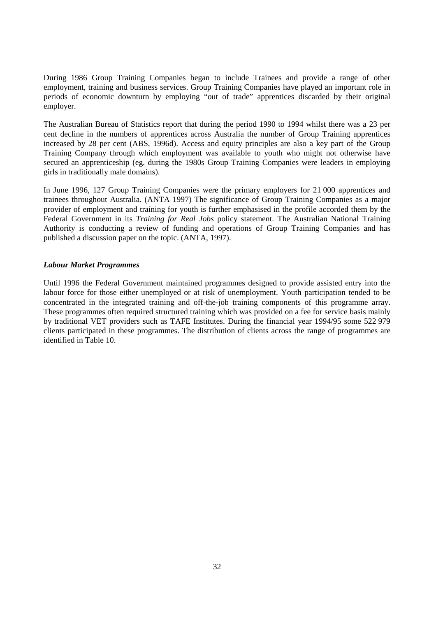During 1986 Group Training Companies began to include Trainees and provide a range of other employment, training and business services. Group Training Companies have played an important role in periods of economic downturn by employing "out of trade" apprentices discarded by their original employer.

The Australian Bureau of Statistics report that during the period 1990 to 1994 whilst there was a 23 per cent decline in the numbers of apprentices across Australia the number of Group Training apprentices increased by 28 per cent (ABS, 1996d). Access and equity principles are also a key part of the Group Training Company through which employment was available to youth who might not otherwise have secured an apprenticeship (eg. during the 1980s Group Training Companies were leaders in employing girls in traditionally male domains).

In June 1996, 127 Group Training Companies were the primary employers for 21 000 apprentices and trainees throughout Australia. (ANTA 1997) The significance of Group Training Companies as a major provider of employment and training for youth is further emphasised in the profile accorded them by the Federal Government in its *Training for Real Jobs* policy statement. The Australian National Training Authority is conducting a review of funding and operations of Group Training Companies and has published a discussion paper on the topic. (ANTA, 1997).

## *Labour Market Programmes*

Until 1996 the Federal Government maintained programmes designed to provide assisted entry into the labour force for those either unemployed or at risk of unemployment. Youth participation tended to be concentrated in the integrated training and off-the-job training components of this programme array. These programmes often required structured training which was provided on a fee for service basis mainly by traditional VET providers such as TAFE Institutes. During the financial year 1994/95 some 522 979 clients participated in these programmes. The distribution of clients across the range of programmes are identified in Table 10.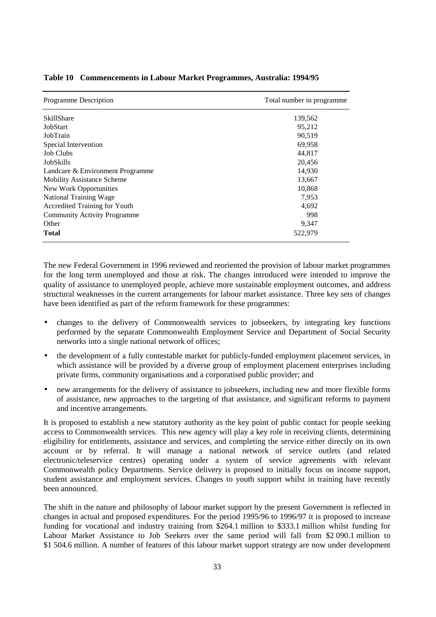| Programme Description               | Total number in programme |
|-------------------------------------|---------------------------|
| <b>SkillShare</b>                   | 139,562                   |
| JobStart                            | 95,212                    |
| JobTrain                            | 90,519                    |
| Special Intervention                | 69,958                    |
| <b>Job Clubs</b>                    | 44,817                    |
| JobSkills                           | 20,456                    |
| Landcare & Environment Programme    | 14,930                    |
| <b>Mobility Assistance Scheme</b>   | 13,667                    |
| New Work Opportunities              | 10,868                    |
| National Training Wage              | 7,953                     |
| Accredited Training for Youth       | 4,692                     |
| <b>Community Activity Programme</b> | 998                       |
| Other                               | 9,347                     |
| <b>Total</b>                        | 522,979                   |

#### **Table 10 Commencements in Labour Market Programmes, Australia: 1994/95**

The new Federal Government in 1996 reviewed and reoriented the provision of labour market programmes for the long term unemployed and those at risk. The changes introduced were intended to improve the quality of assistance to unemployed people, achieve more sustainable employment outcomes, and address structural weaknesses in the current arrangements for labour market assistance. Three key sets of changes have been identified as part of the reform framework for these programmes:

- changes to the delivery of Commonwealth services to jobseekers, by integrating key functions performed by the separate Commonwealth Employment Service and Department of Social Security networks into a single national network of offices;
- the development of a fully contestable market for publicly-funded employment placement services, in which assistance will be provided by a diverse group of employment placement enterprises including private firms, community organisations and a corporatised public provider; and
- new arrangements for the delivery of assistance to jobseekers, including new and more flexible forms of assistance, new approaches to the targeting of that assistance, and significant reforms to payment and incentive arrangements.

It is proposed to establish a new statutory authority as the key point of public contact for people seeking access to Commonwealth services. This new agency will play a key role in receiving clients, determining eligibility for entitlements, assistance and services, and completing the service either directly on its own account or by referral. It will manage a national network of service outlets (and related electronic/teleservice centres) operating under a system of service agreements with relevant Commonwealth policy Departments. Service delivery is proposed to initially focus on income support, student assistance and employment services. Changes to youth support whilst in training have recently been announced.

The shift in the nature and philosophy of labour market support by the present Government is reflected in changes in actual and proposed expenditures. For the period 1995/96 to 1996/97 it is proposed to increase funding for vocational and industry training from \$264.1 million to \$333.1 million whilst funding for Labour Market Assistance to Job Seekers over the same period will fall from \$2 090.1 million to \$1 504.6 million. A number of features of this labour market support strategy are now under development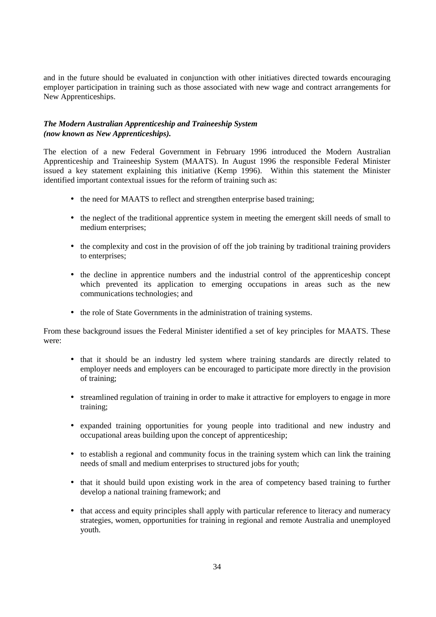and in the future should be evaluated in conjunction with other initiatives directed towards encouraging employer participation in training such as those associated with new wage and contract arrangements for New Apprenticeships.

## *The Modern Australian Apprenticeship and Traineeship System (now known as New Apprenticeships).*

The election of a new Federal Government in February 1996 introduced the Modern Australian Apprenticeship and Traineeship System (MAATS). In August 1996 the responsible Federal Minister issued a key statement explaining this initiative (Kemp 1996). Within this statement the Minister identified important contextual issues for the reform of training such as:

- the need for MAATS to reflect and strengthen enterprise based training;
- the neglect of the traditional apprentice system in meeting the emergent skill needs of small to medium enterprises;
- the complexity and cost in the provision of off the job training by traditional training providers to enterprises;
- the decline in apprentice numbers and the industrial control of the apprenticeship concept which prevented its application to emerging occupations in areas such as the new communications technologies; and
- the role of State Governments in the administration of training systems.

From these background issues the Federal Minister identified a set of key principles for MAATS. These were:

- that it should be an industry led system where training standards are directly related to employer needs and employers can be encouraged to participate more directly in the provision of training;
- streamlined regulation of training in order to make it attractive for employers to engage in more training;
- expanded training opportunities for young people into traditional and new industry and occupational areas building upon the concept of apprenticeship;
- to establish a regional and community focus in the training system which can link the training needs of small and medium enterprises to structured jobs for youth;
- that it should build upon existing work in the area of competency based training to further develop a national training framework; and
- that access and equity principles shall apply with particular reference to literacy and numeracy strategies, women, opportunities for training in regional and remote Australia and unemployed youth.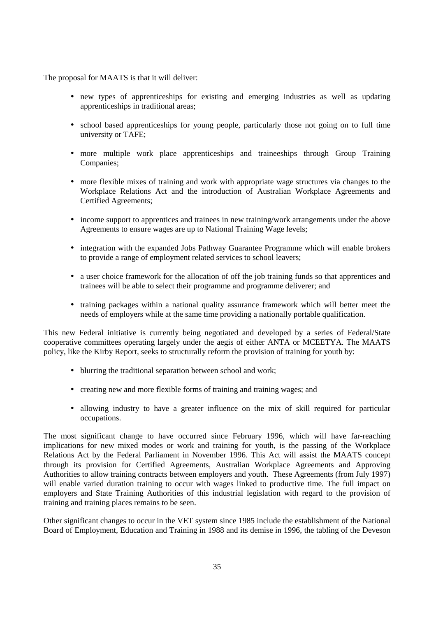The proposal for MAATS is that it will deliver:

- new types of apprenticeships for existing and emerging industries as well as updating apprenticeships in traditional areas;
- school based apprenticeships for young people, particularly those not going on to full time university or TAFE;
- more multiple work place apprenticeships and traineeships through Group Training Companies;
- more flexible mixes of training and work with appropriate wage structures via changes to the Workplace Relations Act and the introduction of Australian Workplace Agreements and Certified Agreements;
- income support to apprentices and trainees in new training/work arrangements under the above Agreements to ensure wages are up to National Training Wage levels;
- integration with the expanded Jobs Pathway Guarantee Programme which will enable brokers to provide a range of employment related services to school leavers;
- a user choice framework for the allocation of off the job training funds so that apprentices and trainees will be able to select their programme and programme deliverer; and
- training packages within a national quality assurance framework which will better meet the needs of employers while at the same time providing a nationally portable qualification.

This new Federal initiative is currently being negotiated and developed by a series of Federal/State cooperative committees operating largely under the aegis of either ANTA or MCEETYA. The MAATS policy, like the Kirby Report, seeks to structurally reform the provision of training for youth by:

- blurring the traditional separation between school and work:
- creating new and more flexible forms of training and training wages; and
- allowing industry to have a greater influence on the mix of skill required for particular occupations.

The most significant change to have occurred since February 1996, which will have far-reaching implications for new mixed modes or work and training for youth, is the passing of the Workplace Relations Act by the Federal Parliament in November 1996. This Act will assist the MAATS concept through its provision for Certified Agreements, Australian Workplace Agreements and Approving Authorities to allow training contracts between employers and youth. These Agreements (from July 1997) will enable varied duration training to occur with wages linked to productive time. The full impact on employers and State Training Authorities of this industrial legislation with regard to the provision of training and training places remains to be seen.

Other significant changes to occur in the VET system since 1985 include the establishment of the National Board of Employment, Education and Training in 1988 and its demise in 1996, the tabling of the Deveson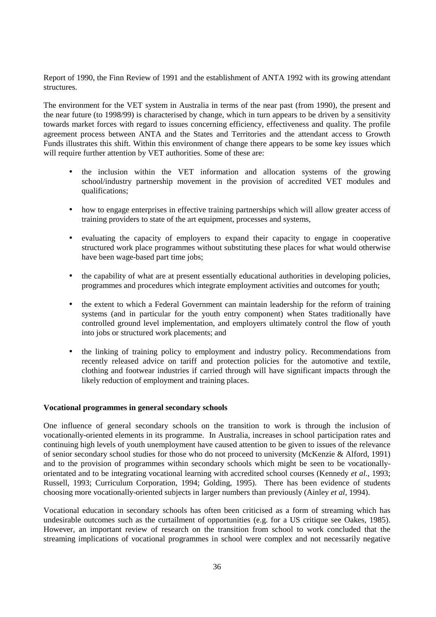Report of 1990, the Finn Review of 1991 and the establishment of ANTA 1992 with its growing attendant structures.

The environment for the VET system in Australia in terms of the near past (from 1990), the present and the near future (to 1998/99) is characterised by change, which in turn appears to be driven by a sensitivity towards market forces with regard to issues concerning efficiency, effectiveness and quality. The profile agreement process between ANTA and the States and Territories and the attendant access to Growth Funds illustrates this shift. Within this environment of change there appears to be some key issues which will require further attention by VET authorities. Some of these are:

- the inclusion within the VET information and allocation systems of the growing school/industry partnership movement in the provision of accredited VET modules and qualifications;
- how to engage enterprises in effective training partnerships which will allow greater access of training providers to state of the art equipment, processes and systems,
- evaluating the capacity of employers to expand their capacity to engage in cooperative structured work place programmes without substituting these places for what would otherwise have been wage-based part time jobs;
- the capability of what are at present essentially educational authorities in developing policies, programmes and procedures which integrate employment activities and outcomes for youth;
- the extent to which a Federal Government can maintain leadership for the reform of training systems (and in particular for the youth entry component) when States traditionally have controlled ground level implementation, and employers ultimately control the flow of youth into jobs or structured work placements; and
- the linking of training policy to employment and industry policy. Recommendations from recently released advice on tariff and protection policies for the automotive and textile, clothing and footwear industries if carried through will have significant impacts through the likely reduction of employment and training places.

#### **Vocational programmes in general secondary schools**

One influence of general secondary schools on the transition to work is through the inclusion of vocationally-oriented elements in its programme. In Australia, increases in school participation rates and continuing high levels of youth unemployment have caused attention to be given to issues of the relevance of senior secondary school studies for those who do not proceed to university (McKenzie & Alford, 1991) and to the provision of programmes within secondary schools which might be seen to be vocationallyorientated and to be integrating vocational learning with accredited school courses (Kennedy *et al.*, 1993; Russell, 1993; Curriculum Corporation, 1994; Golding, 1995). There has been evidence of students choosing more vocationally-oriented subjects in larger numbers than previously (Ainley *et al*, 1994).

Vocational education in secondary schools has often been criticised as a form of streaming which has undesirable outcomes such as the curtailment of opportunities (e.g. for a US critique see Oakes, 1985). However, an important review of research on the transition from school to work concluded that the streaming implications of vocational programmes in school were complex and not necessarily negative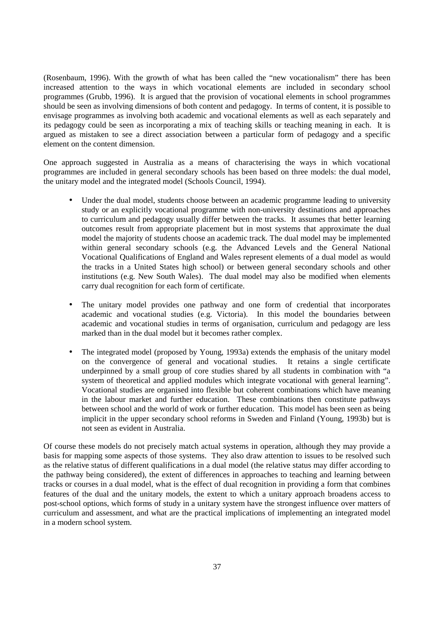(Rosenbaum, 1996). With the growth of what has been called the "new vocationalism" there has been increased attention to the ways in which vocational elements are included in secondary school programmes (Grubb, 1996). It is argued that the provision of vocational elements in school programmes should be seen as involving dimensions of both content and pedagogy. In terms of content, it is possible to envisage programmes as involving both academic and vocational elements as well as each separately and its pedagogy could be seen as incorporating a mix of teaching skills or teaching meaning in each. It is argued as mistaken to see a direct association between a particular form of pedagogy and a specific element on the content dimension.

One approach suggested in Australia as a means of characterising the ways in which vocational programmes are included in general secondary schools has been based on three models: the dual model, the unitary model and the integrated model (Schools Council, 1994).

- Under the dual model, students choose between an academic programme leading to university study or an explicitly vocational programme with non-university destinations and approaches to curriculum and pedagogy usually differ between the tracks. It assumes that better learning outcomes result from appropriate placement but in most systems that approximate the dual model the majority of students choose an academic track. The dual model may be implemented within general secondary schools (e.g. the Advanced Levels and the General National Vocational Qualifications of England and Wales represent elements of a dual model as would the tracks in a United States high school) or between general secondary schools and other institutions (e.g. New South Wales). The dual model may also be modified when elements carry dual recognition for each form of certificate.
- The unitary model provides one pathway and one form of credential that incorporates academic and vocational studies (e.g. Victoria). In this model the boundaries between academic and vocational studies in terms of organisation, curriculum and pedagogy are less marked than in the dual model but it becomes rather complex.
- The integrated model (proposed by Young, 1993a) extends the emphasis of the unitary model on the convergence of general and vocational studies. It retains a single certificate underpinned by a small group of core studies shared by all students in combination with "a system of theoretical and applied modules which integrate vocational with general learning". Vocational studies are organised into flexible but coherent combinations which have meaning in the labour market and further education. These combinations then constitute pathways between school and the world of work or further education. This model has been seen as being implicit in the upper secondary school reforms in Sweden and Finland (Young, 1993b) but is not seen as evident in Australia.

Of course these models do not precisely match actual systems in operation, although they may provide a basis for mapping some aspects of those systems. They also draw attention to issues to be resolved such as the relative status of different qualifications in a dual model (the relative status may differ according to the pathway being considered), the extent of differences in approaches to teaching and learning between tracks or courses in a dual model, what is the effect of dual recognition in providing a form that combines features of the dual and the unitary models, the extent to which a unitary approach broadens access to post-school options, which forms of study in a unitary system have the strongest influence over matters of curriculum and assessment, and what are the practical implications of implementing an integrated model in a modern school system.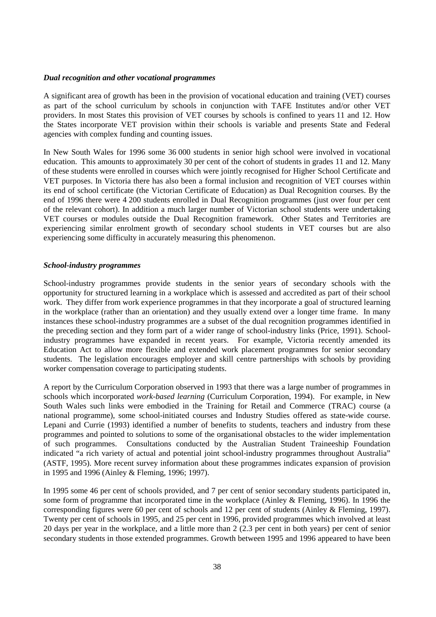#### *Dual recognition and other vocational programmes*

A significant area of growth has been in the provision of vocational education and training (VET) courses as part of the school curriculum by schools in conjunction with TAFE Institutes and/or other VET providers. In most States this provision of VET courses by schools is confined to years 11 and 12. How the States incorporate VET provision within their schools is variable and presents State and Federal agencies with complex funding and counting issues.

In New South Wales for 1996 some 36 000 students in senior high school were involved in vocational education. This amounts to approximately 30 per cent of the cohort of students in grades 11 and 12. Many of these students were enrolled in courses which were jointly recognised for Higher School Certificate and VET purposes. In Victoria there has also been a formal inclusion and recognition of VET courses within its end of school certificate (the Victorian Certificate of Education) as Dual Recognition courses. By the end of 1996 there were 4 200 students enrolled in Dual Recognition programmes (just over four per cent of the relevant cohort). In addition a much larger number of Victorian school students were undertaking VET courses or modules outside the Dual Recognition framework. Other States and Territories are experiencing similar enrolment growth of secondary school students in VET courses but are also experiencing some difficulty in accurately measuring this phenomenon.

#### *School-industry programmes*

School-industry programmes provide students in the senior years of secondary schools with the opportunity for structured learning in a workplace which is assessed and accredited as part of their school work. They differ from work experience programmes in that they incorporate a goal of structured learning in the workplace (rather than an orientation) and they usually extend over a longer time frame. In many instances these school-industry programmes are a subset of the dual recognition programmes identified in the preceding section and they form part of a wider range of school-industry links (Price, 1991). Schoolindustry programmes have expanded in recent years. For example, Victoria recently amended its Education Act to allow more flexible and extended work placement programmes for senior secondary students. The legislation encourages employer and skill centre partnerships with schools by providing worker compensation coverage to participating students.

A report by the Curriculum Corporation observed in 1993 that there was a large number of programmes in schools which incorporated *work-based learning* (Curriculum Corporation, 1994). For example, in New South Wales such links were embodied in the Training for Retail and Commerce (TRAC) course (a national programme), some school-initiated courses and Industry Studies offered as state-wide course. Lepani and Currie (1993) identified a number of benefits to students, teachers and industry from these programmes and pointed to solutions to some of the organisational obstacles to the wider implementation of such programmes. Consultations conducted by the Australian Student Traineeship Foundation indicated "a rich variety of actual and potential joint school-industry programmes throughout Australia" (ASTF, 1995). More recent survey information about these programmes indicates expansion of provision in 1995 and 1996 (Ainley & Fleming, 1996; 1997).

In 1995 some 46 per cent of schools provided, and 7 per cent of senior secondary students participated in, some form of programme that incorporated time in the workplace (Ainley & Fleming, 1996). In 1996 the corresponding figures were 60 per cent of schools and 12 per cent of students (Ainley & Fleming, 1997). Twenty per cent of schools in 1995, and 25 per cent in 1996, provided programmes which involved at least 20 days per year in the workplace, and a little more than 2 (2.3 per cent in both years) per cent of senior secondary students in those extended programmes. Growth between 1995 and 1996 appeared to have been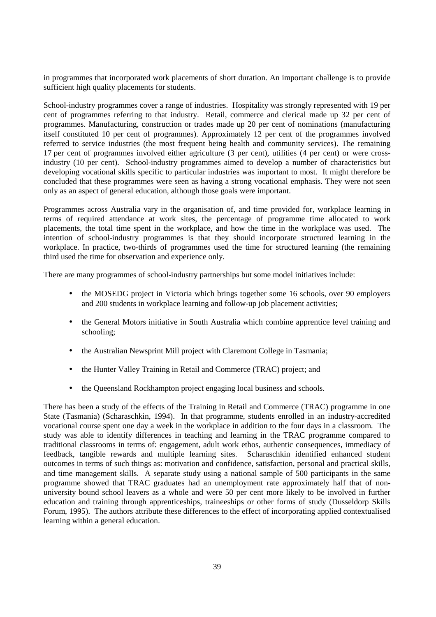in programmes that incorporated work placements of short duration. An important challenge is to provide sufficient high quality placements for students.

School-industry programmes cover a range of industries. Hospitality was strongly represented with 19 per cent of programmes referring to that industry. Retail, commerce and clerical made up 32 per cent of programmes. Manufacturing, construction or trades made up 20 per cent of nominations (manufacturing itself constituted 10 per cent of programmes). Approximately 12 per cent of the programmes involved referred to service industries (the most frequent being health and community services). The remaining 17 per cent of programmes involved either agriculture (3 per cent), utilities (4 per cent) or were crossindustry (10 per cent). School-industry programmes aimed to develop a number of characteristics but developing vocational skills specific to particular industries was important to most. It might therefore be concluded that these programmes were seen as having a strong vocational emphasis. They were not seen only as an aspect of general education, although those goals were important.

Programmes across Australia vary in the organisation of, and time provided for, workplace learning in terms of required attendance at work sites, the percentage of programme time allocated to work placements, the total time spent in the workplace, and how the time in the workplace was used. The intention of school-industry programmes is that they should incorporate structured learning in the workplace. In practice, two-thirds of programmes used the time for structured learning (the remaining third used the time for observation and experience only.

There are many programmes of school-industry partnerships but some model initiatives include:

- the MOSEDG project in Victoria which brings together some 16 schools, over 90 employers and 200 students in workplace learning and follow-up job placement activities;
- the General Motors initiative in South Australia which combine apprentice level training and schooling;
- the Australian Newsprint Mill project with Claremont College in Tasmania;
- the Hunter Valley Training in Retail and Commerce (TRAC) project; and
- the Queensland Rockhampton project engaging local business and schools.

There has been a study of the effects of the Training in Retail and Commerce (TRAC) programme in one State (Tasmania) (Scharaschkin, 1994). In that programme, students enrolled in an industry-accredited vocational course spent one day a week in the workplace in addition to the four days in a classroom. The study was able to identify differences in teaching and learning in the TRAC programme compared to traditional classrooms in terms of: engagement, adult work ethos, authentic consequences, immediacy of feedback, tangible rewards and multiple learning sites. Scharaschkin identified enhanced student outcomes in terms of such things as: motivation and confidence, satisfaction, personal and practical skills, and time management skills. A separate study using a national sample of 500 participants in the same programme showed that TRAC graduates had an unemployment rate approximately half that of nonuniversity bound school leavers as a whole and were 50 per cent more likely to be involved in further education and training through apprenticeships, traineeships or other forms of study (Dusseldorp Skills Forum, 1995). The authors attribute these differences to the effect of incorporating applied contextualised learning within a general education.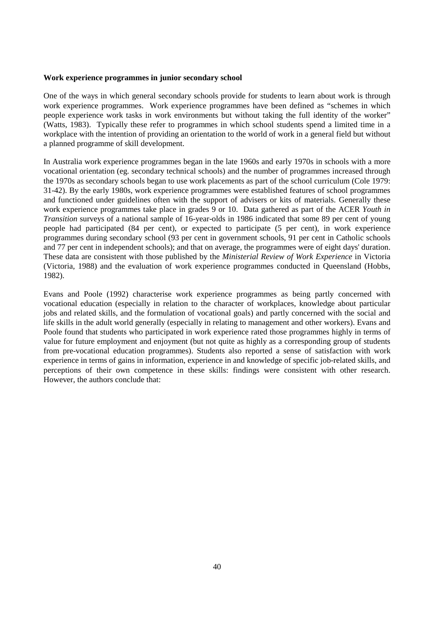#### **Work experience programmes in junior secondary school**

One of the ways in which general secondary schools provide for students to learn about work is through work experience programmes. Work experience programmes have been defined as "schemes in which people experience work tasks in work environments but without taking the full identity of the worker" (Watts, 1983). Typically these refer to programmes in which school students spend a limited time in a workplace with the intention of providing an orientation to the world of work in a general field but without a planned programme of skill development.

In Australia work experience programmes began in the late 1960s and early 1970s in schools with a more vocational orientation (eg. secondary technical schools) and the number of programmes increased through the 1970s as secondary schools began to use work placements as part of the school curriculum (Cole 1979: 31-42). By the early 1980s, work experience programmes were established features of school programmes and functioned under guidelines often with the support of advisers or kits of materials. Generally these work experience programmes take place in grades 9 or 10. Data gathered as part of the ACER *Youth in Transition* surveys of a national sample of 16-year-olds in 1986 indicated that some 89 per cent of young people had participated (84 per cent), or expected to participate (5 per cent), in work experience programmes during secondary school (93 per cent in government schools, 91 per cent in Catholic schools and 77 per cent in independent schools); and that on average, the programmes were of eight days' duration. These data are consistent with those published by the *Ministerial Review of Work Experience* in Victoria (Victoria, 1988) and the evaluation of work experience programmes conducted in Queensland (Hobbs, 1982).

Evans and Poole (1992) characterise work experience programmes as being partly concerned with vocational education (especially in relation to the character of workplaces, knowledge about particular jobs and related skills, and the formulation of vocational goals) and partly concerned with the social and life skills in the adult world generally (especially in relating to management and other workers). Evans and Poole found that students who participated in work experience rated those programmes highly in terms of value for future employment and enjoyment (but not quite as highly as a corresponding group of students from pre-vocational education programmes). Students also reported a sense of satisfaction with work experience in terms of gains in information, experience in and knowledge of specific job-related skills, and perceptions of their own competence in these skills: findings were consistent with other research. However, the authors conclude that: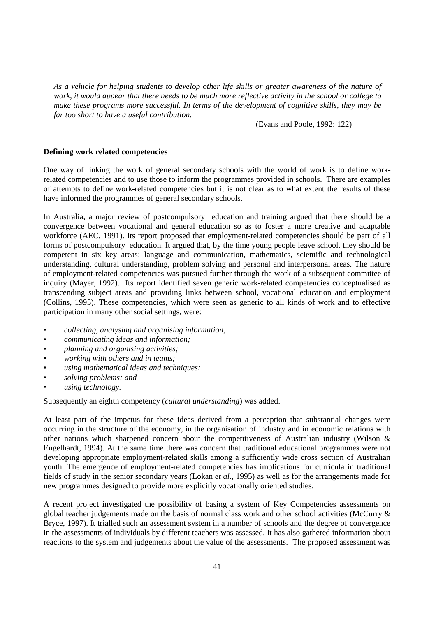*As a vehicle for helping students to develop other life skills or greater awareness of the nature of work, it would appear that there needs to be much more reflective activity in the school or college to make these programs more successful. In terms of the development of cognitive skills, they may be far too short to have a useful contribution.*

(Evans and Poole, 1992: 122)

#### **Defining work related competencies**

One way of linking the work of general secondary schools with the world of work is to define workrelated competencies and to use those to inform the programmes provided in schools. There are examples of attempts to define work-related competencies but it is not clear as to what extent the results of these have informed the programmes of general secondary schools.

In Australia, a major review of postcompulsory education and training argued that there should be a convergence between vocational and general education so as to foster a more creative and adaptable workforce (AEC, 1991). Its report proposed that employment-related competencies should be part of all forms of postcompulsory education. It argued that, by the time young people leave school, they should be competent in six key areas: language and communication, mathematics, scientific and technological understanding, cultural understanding, problem solving and personal and interpersonal areas. The nature of employment-related competencies was pursued further through the work of a subsequent committee of inquiry (Mayer, 1992). Its report identified seven generic work-related competencies conceptualised as transcending subject areas and providing links between school, vocational education and employment (Collins, 1995). These competencies, which were seen as generic to all kinds of work and to effective participation in many other social settings, were:

- *collecting, analysing and organising information;*
- *communicating ideas and information;*
- *planning and organising activities;*
- *working with others and in teams;*
- *using mathematical ideas and techniques;*
- *solving problems; and*
- *using technology.*

Subsequently an eighth competency (*cultural understanding*) was added.

At least part of the impetus for these ideas derived from a perception that substantial changes were occurring in the structure of the economy, in the organisation of industry and in economic relations with other nations which sharpened concern about the competitiveness of Australian industry (Wilson & Engelhardt, 1994). At the same time there was concern that traditional educational programmes were not developing appropriate employment-related skills among a sufficiently wide cross section of Australian youth. The emergence of employment-related competencies has implications for curricula in traditional fields of study in the senior secondary years (Lokan *et al*., 1995) as well as for the arrangements made for new programmes designed to provide more explicitly vocationally oriented studies.

A recent project investigated the possibility of basing a system of Key Competencies assessments on global teacher judgements made on the basis of normal class work and other school activities (McCurry & Bryce, 1997). It trialled such an assessment system in a number of schools and the degree of convergence in the assessments of individuals by different teachers was assessed. It has also gathered information about reactions to the system and judgements about the value of the assessments. The proposed assessment was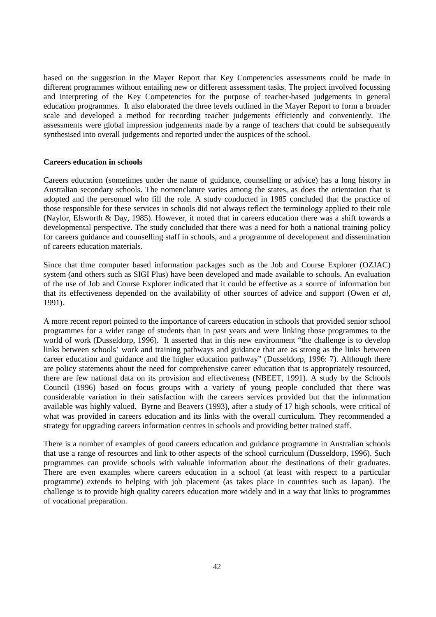based on the suggestion in the Mayer Report that Key Competencies assessments could be made in different programmes without entailing new or different assessment tasks. The project involved focussing and interpreting of the Key Competencies for the purpose of teacher-based judgements in general education programmes. It also elaborated the three levels outlined in the Mayer Report to form a broader scale and developed a method for recording teacher judgements efficiently and conveniently. The assessments were global impression judgements made by a range of teachers that could be subsequently synthesised into overall judgements and reported under the auspices of the school.

#### **Careers education in schools**

Careers education (sometimes under the name of guidance, counselling or advice) has a long history in Australian secondary schools. The nomenclature varies among the states, as does the orientation that is adopted and the personnel who fill the role. A study conducted in 1985 concluded that the practice of those responsible for these services in schools did not always reflect the terminology applied to their role (Naylor, Elsworth & Day, 1985). However, it noted that in careers education there was a shift towards a developmental perspective. The study concluded that there was a need for both a national training policy for careers guidance and counselling staff in schools, and a programme of development and dissemination of careers education materials.

Since that time computer based information packages such as the Job and Course Explorer (OZJAC) system (and others such as SIGI Plus) have been developed and made available to schools. An evaluation of the use of Job and Course Explorer indicated that it could be effective as a source of information but that its effectiveness depended on the availability of other sources of advice and support (Owen *et al*, 1991).

A more recent report pointed to the importance of careers education in schools that provided senior school programmes for a wider range of students than in past years and were linking those programmes to the world of work (Dusseldorp, 1996). It asserted that in this new environment "the challenge is to develop links between schools' work and training pathways and guidance that are as strong as the links between career education and guidance and the higher education pathway" (Dusseldorp, 1996: 7). Although there are policy statements about the need for comprehensive career education that is appropriately resourced, there are few national data on its provision and effectiveness (NBEET, 1991). A study by the Schools Council (1996) based on focus groups with a variety of young people concluded that there was considerable variation in their satisfaction with the careers services provided but that the information available was highly valued. Byrne and Beavers (1993), after a study of 17 high schools, were critical of what was provided in careers education and its links with the overall curriculum. They recommended a strategy for upgrading careers information centres in schools and providing better trained staff.

There is a number of examples of good careers education and guidance programme in Australian schools that use a range of resources and link to other aspects of the school curriculum (Dusseldorp, 1996). Such programmes can provide schools with valuable information about the destinations of their graduates. There are even examples where careers education in a school (at least with respect to a particular programme) extends to helping with job placement (as takes place in countries such as Japan). The challenge is to provide high quality careers education more widely and in a way that links to programmes of vocational preparation.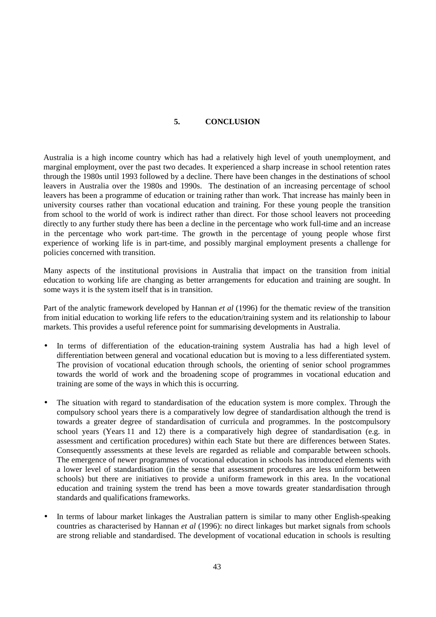## **5. CONCLUSION**

Australia is a high income country which has had a relatively high level of youth unemployment, and marginal employment, over the past two decades. It experienced a sharp increase in school retention rates through the 1980s until 1993 followed by a decline. There have been changes in the destinations of school leavers in Australia over the 1980s and 1990s. The destination of an increasing percentage of school leavers has been a programme of education or training rather than work. That increase has mainly been in university courses rather than vocational education and training. For these young people the transition from school to the world of work is indirect rather than direct. For those school leavers not proceeding directly to any further study there has been a decline in the percentage who work full-time and an increase in the percentage who work part-time. The growth in the percentage of young people whose first experience of working life is in part-time, and possibly marginal employment presents a challenge for policies concerned with transition.

Many aspects of the institutional provisions in Australia that impact on the transition from initial education to working life are changing as better arrangements for education and training are sought. In some ways it is the system itself that is in transition.

Part of the analytic framework developed by Hannan *et al* (1996) for the thematic review of the transition from initial education to working life refers to the education/training system and its relationship to labour markets. This provides a useful reference point for summarising developments in Australia.

- In terms of differentiation of the education-training system Australia has had a high level of differentiation between general and vocational education but is moving to a less differentiated system. The provision of vocational education through schools, the orienting of senior school programmes towards the world of work and the broadening scope of programmes in vocational education and training are some of the ways in which this is occurring.
- The situation with regard to standardisation of the education system is more complex. Through the compulsory school years there is a comparatively low degree of standardisation although the trend is towards a greater degree of standardisation of curricula and programmes. In the postcompulsory school years (Years 11 and 12) there is a comparatively high degree of standardisation (e.g. in assessment and certification procedures) within each State but there are differences between States. Consequently assessments at these levels are regarded as reliable and comparable between schools. The emergence of newer programmes of vocational education in schools has introduced elements with a lower level of standardisation (in the sense that assessment procedures are less uniform between schools) but there are initiatives to provide a uniform framework in this area. In the vocational education and training system the trend has been a move towards greater standardisation through standards and qualifications frameworks.
- In terms of labour market linkages the Australian pattern is similar to many other English-speaking countries as characterised by Hannan *et al* (1996): no direct linkages but market signals from schools are strong reliable and standardised. The development of vocational education in schools is resulting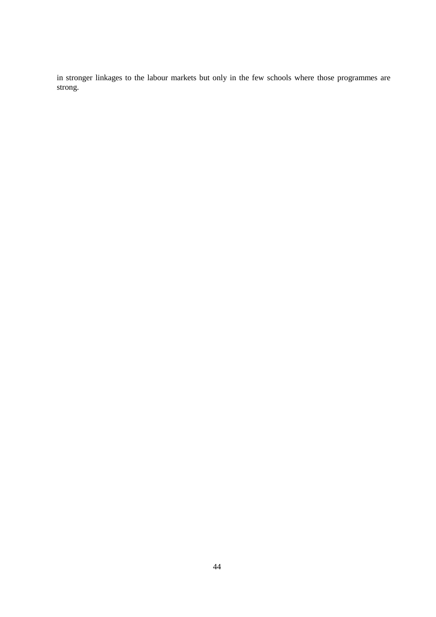in stronger linkages to the labour markets but only in the few schools where those programmes are strong.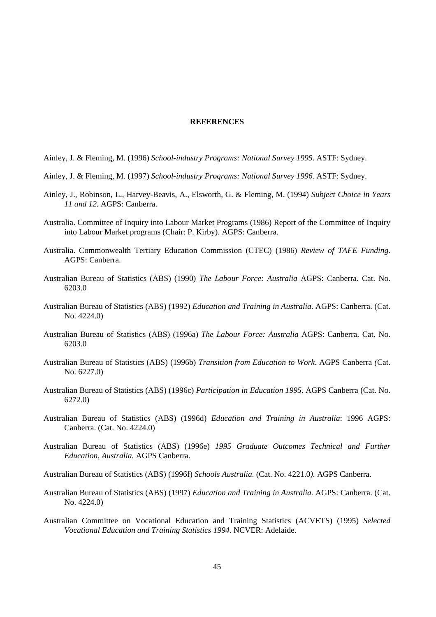#### **REFERENCES**

- Ainley, J. & Fleming, M. (1996) *School-industry Programs: National Survey 1995*. ASTF: Sydney.
- Ainley, J. & Fleming, M. (1997) *School-industry Programs: National Survey 1996.* ASTF: Sydney.
- Ainley, J., Robinson, L., Harvey-Beavis, A., Elsworth, G. & Fleming, M. (1994) *Subject Choice in Years 11 and 12.* AGPS: Canberra.
- Australia. Committee of Inquiry into Labour Market Programs (1986) Report of the Committee of Inquiry into Labour Market programs (Chair: P. Kirby). AGPS: Canberra.
- Australia. Commonwealth Tertiary Education Commission (CTEC) (1986) *Review of TAFE Funding*. AGPS: Canberra.
- Australian Bureau of Statistics (ABS) (1990) *The Labour Force: Australia* AGPS: Canberra. Cat. No. 6203.0
- Australian Bureau of Statistics (ABS) (1992) *Education and Training in Australia*. AGPS: Canberra. (Cat. No. 4224.0)
- Australian Bureau of Statistics (ABS) (1996a) *The Labour Force: Australia* AGPS: Canberra. Cat. No. 6203.0
- Australian Bureau of Statistics (ABS) (1996b) *Transition from Education to Work*. AGPS Canberra *(*Cat. No. 6227.0)
- Australian Bureau of Statistics (ABS) (1996c) *Participation in Education 1995.* AGPS Canberra (Cat. No. 6272.0)
- Australian Bureau of Statistics (ABS) (1996d) *Education and Training in Australia*: 1996 AGPS: Canberra. (Cat. No. 4224.0)
- Australian Bureau of Statistics (ABS) (1996e) *1995 Graduate Outcomes Technical and Further Education, Australia.* AGPS Canberra.
- Australian Bureau of Statistics (ABS) (1996f) *Schools Australia.* (Cat. No. 4221.0*).* AGPS Canberra.
- Australian Bureau of Statistics (ABS) (1997) *Education and Training in Australia*. AGPS: Canberra. (Cat. No. 4224.0)
- Australian Committee on Vocational Education and Training Statistics (ACVETS) (1995) *Selected Vocational Education and Training Statistics 1994.* NCVER: Adelaide.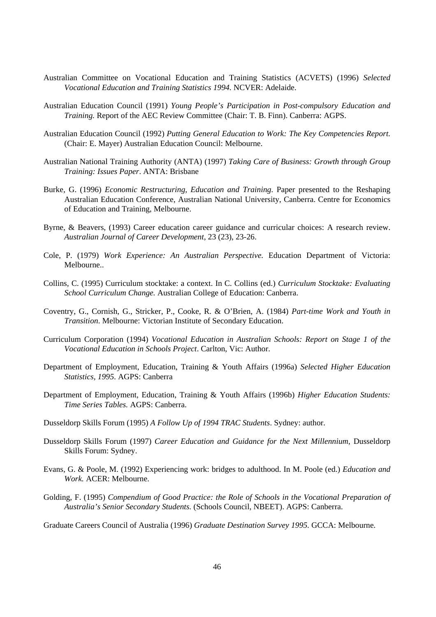- Australian Committee on Vocational Education and Training Statistics (ACVETS) (1996) *Selected Vocational Education and Training Statistics 1994.* NCVER: Adelaide.
- Australian Education Council (1991) *Young People's Participation in Post-compulsory Education and Training.* Report of the AEC Review Committee (Chair: T. B. Finn). Canberra: AGPS.
- Australian Education Council (1992) *Putting General Education to Work: The Key Competencies Report.* (Chair: E. Mayer) Australian Education Council: Melbourne.
- Australian National Training Authority (ANTA) (1997) *Taking Care of Business: Growth through Group Training: Issues Paper*. ANTA: Brisbane
- Burke, G. (1996) *Economic Restructuring, Education and Training*. Paper presented to the Reshaping Australian Education Conference, Australian National University, Canberra. Centre for Economics of Education and Training, Melbourne.
- Byrne, & Beavers, (1993) Career education career guidance and curricular choices: A research review. *Australian Journal of Career Development*, 23 (23), 23-26.
- Cole, P. (1979) *Work Experience: An Australian Perspective.* Education Department of Victoria: Melbourne..
- Collins, C. (1995) Curriculum stocktake: a context. In C. Collins (ed.) *Curriculum Stocktake: Evaluating School Curriculum Change.* Australian College of Education: Canberra.
- Coventry, G., Cornish, G., Stricker, P., Cooke, R. & O'Brien, A. (1984) *Part-time Work and Youth in Transition*. Melbourne: Victorian Institute of Secondary Education.
- Curriculum Corporation (1994) *Vocational Education in Australian Schools: Report on Stage 1 of the Vocational Education in Schools Project*. Carlton, Vic: Author.
- Department of Employment, Education, Training & Youth Affairs (1996a) *Selected Higher Education Statistics, 1995*. AGPS: Canberra
- Department of Employment, Education, Training & Youth Affairs (1996b) *Higher Education Students: Time Series Tables.* AGPS: Canberra.
- Dusseldorp Skills Forum (1995) *A Follow Up of 1994 TRAC Students*. Sydney: author.
- Dusseldorp Skills Forum (1997) *Career Education and Guidance for the Next Millennium*, Dusseldorp Skills Forum: Sydney.
- Evans, G. & Poole, M. (1992) Experiencing work: bridges to adulthood. In M. Poole (ed.) *Education and Work.* ACER: Melbourne.
- Golding, F. (1995) *Compendium of Good Practice: the Role of Schools in the Vocational Preparation of Australia's Senior Secondary Students.* (Schools Council, NBEET). AGPS: Canberra.

Graduate Careers Council of Australia (1996) *Graduate Destination Survey 1995.* GCCA: Melbourne.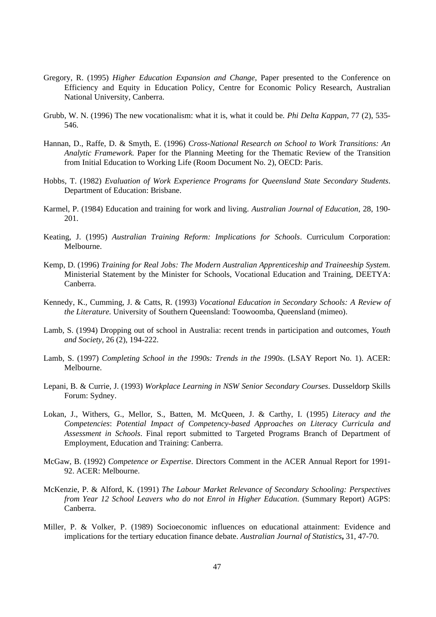- Gregory, R. (1995) *Higher Education Expansion and Change*, Paper presented to the Conference on Efficiency and Equity in Education Policy, Centre for Economic Policy Research, Australian National University, Canberra.
- Grubb, W. N. (1996) The new vocationalism: what it is, what it could be*. Phi Delta Kappan*, 77 (2), 535- 546.
- Hannan, D., Raffe, D. & Smyth, E. (1996) *Cross-National Research on School to Work Transitions: An Analytic Framework.* Paper for the Planning Meeting for the Thematic Review of the Transition from Initial Education to Working Life (Room Document No. 2), OECD: Paris.
- Hobbs, T. (1982) *Evaluation of Work Experience Programs for Queensland State Secondary Students*. Department of Education: Brisbane.
- Karmel, P. (1984) Education and training for work and living. *Australian Journal of Education*, 28, 190- 201.
- Keating, J. (1995) *Australian Training Reform: Implications for Schools*. Curriculum Corporation: Melbourne.
- Kemp, D. (1996) *Training for Real Jobs: The Modern Australian Apprenticeship and Traineeship System.* Ministerial Statement by the Minister for Schools, Vocational Education and Training, DEETYA: Canberra.
- Kennedy, K., Cumming, J. & Catts, R. (1993) *Vocational Education in Secondary Schools: A Review of the Literature.* University of Southern Queensland: Toowoomba, Queensland (mimeo).
- Lamb, S. (1994) Dropping out of school in Australia: recent trends in participation and outcomes, *Youth and Society*, 26 (2), 194-222.
- Lamb, S. (1997) *Completing School in the 1990s: Trends in the 1990s*. (LSAY Report No. 1). ACER: Melbourne.
- Lepani, B. & Currie, J. (1993) *Workplace Learning in NSW Senior Secondary Courses*. Dusseldorp Skills Forum: Sydney.
- Lokan, J., Withers, G., Mellor, S., Batten, M. McQueen, J. & Carthy, I. (1995) *Literacy and the Competencies*: *Potential Impact of Competency-based Approaches on Literacy Curricula and Assessment in Schools*. Final report submitted to Targeted Programs Branch of Department of Employment, Education and Training: Canberra.
- McGaw, B. (1992) *Competence or Expertise*. Directors Comment in the ACER Annual Report for 1991- 92. ACER: Melbourne.
- McKenzie, P. & Alford, K. (1991) *The Labour Market Relevance of Secondary Schooling: Perspectives from Year 12 School Leavers who do not Enrol in Higher Education*. (Summary Report) AGPS: Canberra.
- Miller, P. & Volker, P. (1989) Socioeconomic influences on educational attainment: Evidence and implications for the tertiary education finance debate. *Australian Journal of Statistics***,** 31, 47-70.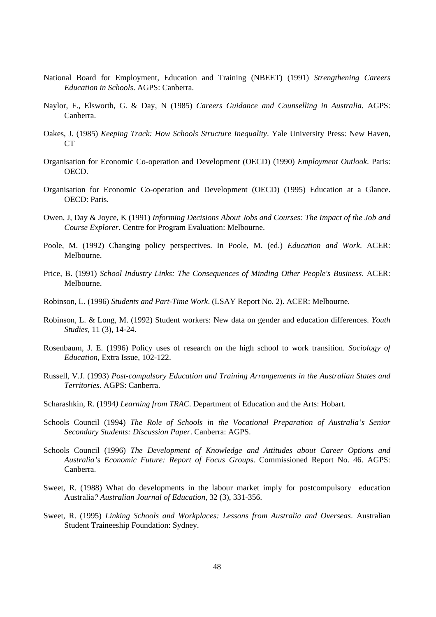- National Board for Employment, Education and Training (NBEET) (1991) *Strengthening Careers Education in Schools*. AGPS: Canberra.
- Naylor, F., Elsworth, G. & Day, N (1985) *Careers Guidance and Counselling in Australia*. AGPS: Canberra.
- Oakes, J. (1985) *Keeping Track: How Schools Structure Inequality*. Yale University Press: New Haven, CT
- Organisation for Economic Co-operation and Development (OECD) (1990) *Employment Outlook*. Paris: OECD.
- Organisation for Economic Co-operation and Development (OECD) (1995) Education at a Glance. OECD: Paris.
- Owen, J, Day & Joyce, K (1991) *Informing Decisions About Jobs and Courses: The Impact of the Job and Course Explorer*. Centre for Program Evaluation: Melbourne.
- Poole, M. (1992) Changing policy perspectives. In Poole, M. (ed.) *Education and Work*. ACER: Melbourne.
- Price, B. (1991) *School Industry Links: The Consequences of Minding Other People's Business*. ACER: Melbourne.
- Robinson, L. (1996) *Students and Part-Time Work*. (LSAY Report No. 2). ACER: Melbourne.
- Robinson, L. & Long, M. (1992) Student workers: New data on gender and education differences. *Youth Studies,* 11 (3), 14-24.
- Rosenbaum, J. E. (1996) Policy uses of research on the high school to work transition. *Sociology of Education*, Extra Issue, 102-122.
- Russell, V.J. (1993) *Post-compulsory Education and Training Arrangements in the Australian States and Territories*. AGPS: Canberra.
- Scharashkin, R. (1994*) Learning from TRAC*. Department of Education and the Arts: Hobart.
- Schools Council (1994) *The Role of Schools in the Vocational Preparation of Australia's Senior Secondary Students: Discussion Paper*. Canberra: AGPS.
- Schools Council (1996) *The Development of Knowledge and Attitudes about Career Options and Australia's Economic Future: Report of Focus Groups*. Commissioned Report No. 46. AGPS: Canberra.
- Sweet, R. (1988) What do developments in the labour market imply for postcompulsory education Australia*? Australian Journal of Education*, 32 (3), 331-356.
- Sweet, R. (1995) *Linking Schools and Workplaces: Lessons from Australia and Overseas*. Australian Student Traineeship Foundation: Sydney.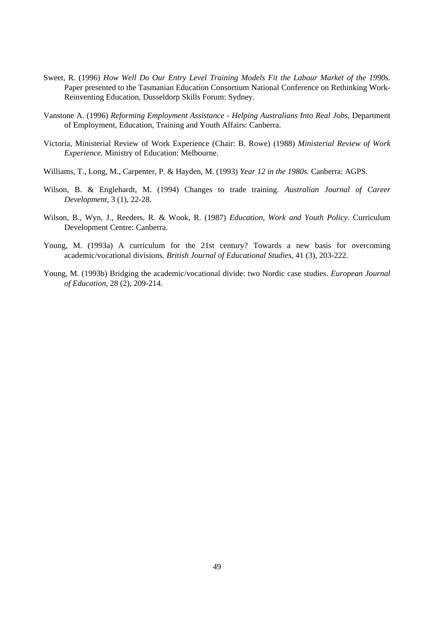- Sweet, R. (1996) *How Well Do Our Entry Level Training Models Fit the Labour Market of the 1990s.* Paper presented to the Tasmanian Education Consortium National Conference on Rethinking Work-Reinventing Education, Dusseldorp Skills Forum: Sydney.
- Vanstone A. (1996) *Reforming Employment Assistance Helping Australians Into Real Jobs*, Department of Employment, Education, Training and Youth Affairs: Canberra.
- Victoria, Ministerial Review of Work Experience (Chair: B. Rowe) (1988) *Ministerial Review of Work Experience.* Ministry of Education: Melbourne.
- Williams, T., Long, M., Carpenter, P. & Hayden, M. (1993) *Year 12 in the 1980s.* Canberra: AGPS.
- Wilson, B. & Englehardt, M. (1994) Changes to trade training. *Australian Journal of Career Development*, 3 (1), 22-28.
- Wilson, B., Wyn, J., Reeders, R. & Wook, R. (1987) *Education, Work and Youth Policy*. Curriculum Development Centre: Canberra.
- Young, M. (1993a) A curriculum for the 21st century? Towards a new basis for overcoming academic/vocational divisions*. British Journal of Educational Studies*, 41 (3), 203-222.
- Young, M. (1993b) Bridging the academic/vocational divide: two Nordic case studies. *European Journal of Education*, 28 (2), 209-214.